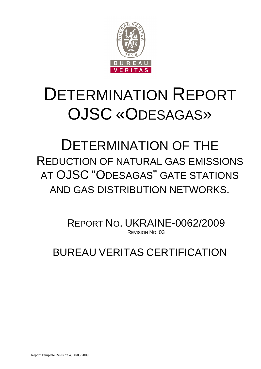

# DETERMINATION REPORT OJSC «ODESAGAS»

# DETERMINATION OF THE REDUCTION OF NATURAL GAS EMISSIONS AT OJSC "ODESAGAS" GATE STATIONS AND GAS DISTRIBUTION NETWORKS.

REPORT NO. UKRAINE-0062/2009 REVISION NO. 03

BUREAU VERITAS CERTIFICATION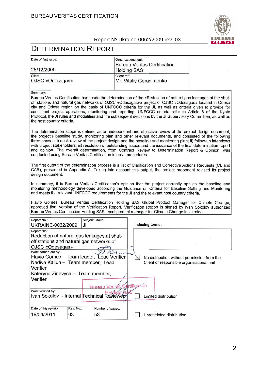

# DETERMINATION REPORT

| Date of first issue: | Organizational unit          |  |
|----------------------|------------------------------|--|
|                      | Bureau Veritas Certification |  |
| 26/12/2009           | <b>Holding SAS</b>           |  |
| Client:              | Client ref.:                 |  |
| OJSC «Odesagas»      | Mr. Vitaliy Gerasimenko      |  |

Summary:

Bureau Veritas Certification has made the determination of the «Reduction of natural gas leakages at the shutoff stations and natural gas networks of OJSC «Odesagas»» project of OJSC «Odesagas» located in Odesa city and Odesa region on the basis of UNFCCC criteria for the JI, as well as criteria given to provide for consistent project operations, monitoring and reporting. UNFCCC criteria refer to Article 6 of the Kyoto Protocol, the JI rules and modalities and the subsequent decisions by the JI Supervisory Committee, as well as the host country criteria.

The determination scope is defined as an independent and objective review of the project design document, the project's baseline study, monitoring plan and other relevant documents, and consisted of the following three phases: i) desk review of the project design and the baseline and monitoring plan; ii) follow-up interviews with project stakeholders; iii) resolution of outstanding issues and the issuance of the final determination report and opinion. The overall determination, from Contract Review to Determination Report & Opinion, was conducted using Bureau Veritas Certification internal procedures.

The first output of the determination process is a list of Clarification and Corrective Actions Requests (CL and CAR), presented in Appendix A. Taking into account this output, the project proponent revised its project design document.

In summary, it is Bureau Veritas Certification's opinion that the project correctly applies the baseline and monitoring methodology developed according the Guidance on Criteria for Baseline Setting and Monitoring and meets the relevant UNFCCC requirements for the JI and the relevant host country criteria.

Flavio Gomes, Bureau Veritas Certification Holding SAS Global Product Manager for Climate Change, approved final version of the Verification Report. Verification Report is signed by Ivan Sokolov authorized Bureau Veritas Certification Holding SAS Local product manager for Climate Change in Ukraine.

| Report No.:                                | Subject Group: |                                      |                                           |                                             |  |  |  |
|--------------------------------------------|----------------|--------------------------------------|-------------------------------------------|---------------------------------------------|--|--|--|
| <b>UKRAINE-0062/2009</b>                   | JI             |                                      | Indexing terms:                           |                                             |  |  |  |
| Report title:                              |                |                                      |                                           |                                             |  |  |  |
| Reduction of natural gas leakages at shut- |                |                                      |                                           |                                             |  |  |  |
| off stations and natural gas networks of   |                |                                      |                                           |                                             |  |  |  |
| OJSC «Odesagas»                            |                |                                      |                                           |                                             |  |  |  |
| Work carried out by:                       |                |                                      |                                           |                                             |  |  |  |
| Flavio Gomes - Team leader, Lead Verifier  |                |                                      | $\boxtimes$                               | No distribution without permission from the |  |  |  |
| Nadiya Kaiiun - Team member, Lead          |                |                                      | Client or responsible organisational unit |                                             |  |  |  |
| Verifier                                   |                |                                      |                                           |                                             |  |  |  |
| Kateryna Zinevych - Team member,           |                |                                      |                                           |                                             |  |  |  |
| Verifier                                   |                |                                      |                                           |                                             |  |  |  |
|                                            |                | <b>Bureau Verita's Certification</b> |                                           |                                             |  |  |  |
| Work verified by:                          |                |                                      |                                           |                                             |  |  |  |
| Ivan Sokolov - Internal Technical Reviewer |                |                                      | Limited distribution                      |                                             |  |  |  |
|                                            |                |                                      |                                           |                                             |  |  |  |
| Date of this revision:<br>Rev. No.:        |                | Number of pages:                     |                                           |                                             |  |  |  |
| 03<br>18/04/2011                           |                | 53                                   |                                           | Unrestricted distribution                   |  |  |  |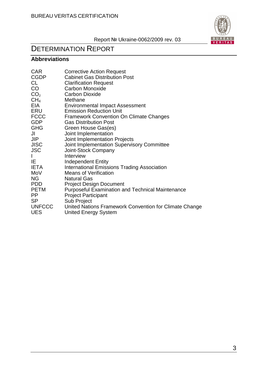

# DETERMINATION REPORT

# **Abbreviations**

| <b>CAR</b>      | <b>Corrective Action Request</b>                        |
|-----------------|---------------------------------------------------------|
| <b>CGDP</b>     | <b>Cabinet Gas Distribution Post</b>                    |
| CL              | <b>Clarification Request</b>                            |
| CO              | Carbon Monoxide                                         |
| CO <sub>2</sub> | <b>Carbon Dioxide</b>                                   |
| CH <sub>4</sub> | Methane                                                 |
| <b>EIA</b>      | <b>Environmental Impact Assessment</b>                  |
| ERU             | <b>Emission Reduction Unit</b>                          |
| <b>FCCC</b>     | <b>Framework Convention On Climate Changes</b>          |
| <b>GDP</b>      | <b>Gas Distribution Post</b>                            |
| <b>GHG</b>      | Green House Gas(es)                                     |
| JI              | Joint Implementation                                    |
| <b>JIP</b>      | Joint Implementation Projects                           |
| <b>JISC</b>     | Joint Implementation Supervisory Committee              |
| <b>JSC</b>      | Joint-Stock Company                                     |
|                 | Interview                                               |
| IE.             | <b>Independent Entity</b>                               |
| <b>IETA</b>     | <b>International Emissions Trading Association</b>      |
| MoV             | <b>Means of Verification</b>                            |
| <b>NG</b>       | <b>Natural Gas</b>                                      |
| <b>PDD</b>      | <b>Project Design Document</b>                          |
| <b>PETM</b>     | <b>Purposeful Examination and Technical Maintenance</b> |
| <b>PP</b>       | <b>Project Participant</b>                              |
| <b>SP</b>       | Sub Project                                             |
| <b>UNFCCC</b>   | United Nations Framework Convention for Climate Change  |
| <b>UES</b>      | <b>United Energy System</b>                             |
|                 |                                                         |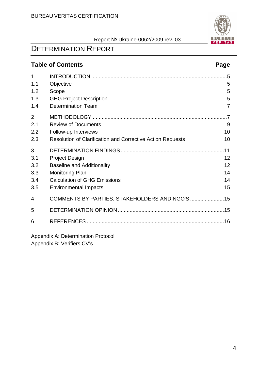

# DETERMINATION REPORT

# **Table of Contents Page**

| $\mathbf{1}$   |                                                            | .5             |
|----------------|------------------------------------------------------------|----------------|
| 1.1            | Objective                                                  | 5              |
| 1.2            | Scope                                                      | 5              |
| 1.3            | <b>GHG Project Description</b>                             | 5              |
| 1.4            | <b>Determination Team</b>                                  | $\overline{7}$ |
| $\overline{2}$ |                                                            | .7             |
| 2.1            | <b>Review of Documents</b>                                 | 9              |
| 2.2            | Follow-up Interviews                                       | 10             |
| 2.3            | Resolution of Clarification and Corrective Action Requests | 10             |
| 3              |                                                            | .11            |
| 3.1            | <b>Project Design</b>                                      | 12             |
| 3.2            | <b>Baseline and Additionality</b>                          | 12             |
| 3.3            | <b>Monitoring Plan</b>                                     | 14             |
| 3.4            | <b>Calculation of GHG Emissions</b>                        | 14             |
| 3.5            | <b>Environmental Impacts</b>                               | 15             |
| 4              |                                                            |                |
| 5              |                                                            |                |
| 6              |                                                            |                |
|                |                                                            |                |

Appendix A: Determination Protocol Appendix B: Verifiers CV's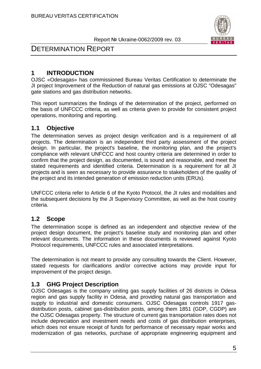

# DETERMINATION REPORT

# **1 INTRODUCTION**

OJSC «Odesagas» has commissioned Bureau Veritas Certification to determinate the JI project Improvement of the Reduction of natural gas emissions at OJSC "Odesagas" gate stations and gas distribution networks.

This report summarizes the findings of the determination of the project, performed on the basis of UNFCCC criteria, as well as criteria given to provide for consistent project operations, monitoring and reporting.

### **1.1 Objective**

The determination serves as project design verification and is a requirement of all projects. The determination is an independent third party assessment of the project design. In particular, the project's baseline, the monitoring plan, and the project's compliance with relevant UNFCCC and host country criteria are determined in order to confirm that the project design, as documented, is sound and reasonable, and meet the stated requirements and identified criteria. Determination is a requirement for all JI projects and is seen as necessary to provide assurance to stakeholders of the quality of the project and its intended generation of emission reduction units (ERUs).

UNFCCC criteria refer to Article 6 of the Kyoto Protocol, the JI rules and modalities and the subsequent decisions by the JI Supervisory Committee, as well as the host country criteria.

### **1.2 Scope**

The determination scope is defined as an independent and objective review of the project design document, the project's baseline study and monitoring plan and other relevant documents. The information in these documents is reviewed against Kyoto Protocol requirements, UNFCCC rules and associated interpretations.

The determination is not meant to provide any consulting towards the Client. However, stated requests for clarifications and/or corrective actions may provide input for improvement of the project design.

### **1.3 GHG Project Description**

OJSC Odesagas is the company uniting gas supply facilities of 26 districts in Odesa region and gas supply facility in Odesa, and providing natural gas transportation and supply to industrial and domestic consumers. OJSC Odesagas controls 1917 gasdistribution posts, cabinet gas-distribution posts, among them 1851 (GDP, CGDP) are the OJSC Odesagas property. The structure of current gas transportation rates does not include depreciation and investment needs and costs of gas distribution enterprises, which does not ensure receipt of funds for performance of necessary repair works and modernization of gas networks, purchase of appropriate engineering equipment and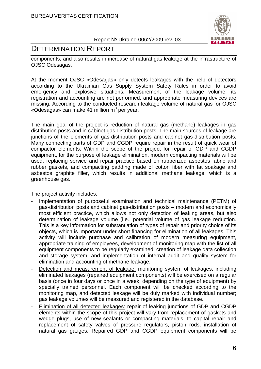

# DETERMINATION REPORT

components, and also results in increase of natural gas leakage at the infrastructure of OJSC Odesagas.

At the moment OJSC «Odesagas» only detects leakages with the help of detectors according to the Ukrainian Gas Supply System Safety Rules in order to avoid emergency and explosive situations. Measurement of the leakage volume, its registration and accounting are not performed, and appropriate measuring devices are missing. According to the conducted research leakage volume of natural gas for OJSC «Odesagas» can make 41 million m<sup>3</sup> per year.

The main goal of the project is reduction of natural gas (methane) leakages in gas distribution posts and in cabinet gas distribution posts. The main sources of leakage are junctions of the elements of gas-distribution posts and cabinet gas-distribution posts. Many connecting parts of GDP and CGDP require repair in the result of quick wear of compactor elements. Within the scope of the project for repair of GDP and CGDP equipment, for the purpose of leakage elimination, modern compacting materials will be used, replacing service and repair practice based on rubberized asbestos fabric and rubber gaskets, and compacting padding made of cotton fiber with fat soakage and asbestos graphite filler, which results in additional methane leakage, which is a greenhouse gas.

The project activity includes:

- Implementation of purposeful examination and technical maintenance (PETM) of gas-distribution posts and cabinet gas-distribution posts – modern and economically most efficient practice, which allows not only detection of leaking areas, but also determination of leakage volume (i.e., potential volume of gas leakage reduction. This is a key information for substantiation of types of repair and priority choice of its objects, which is important under short financing for elimination of all leakages. This activity will include purchase and calibration of modern measuring equipment, appropriate training of employees, development of monitoring map with the list of all equipment components to be regularly examined, creation of leakage data collection and storage system, and implementation of internal audit and quality system for elimination and accounting of methane leakage.
- Detection and measurement of leakage: monitoring system of leakages, including eliminated leakages (repaired equipment components) will be exercised on a regular basis (once in four days or once in a week, depending on the type of equipment) by specially trained personnel. Each component will be checked according to the monitoring map, and detected leakage will be duly marked with individual number; gas leakage volumes will be measured and registered in the database.
- Elimination of all detected leakages: repair of leaking junctions of GDP and CGDP elements within the scope of this project will vary from replacement of gaskets and wedge plugs, use of new sealants or compacting materials, to capital repair and replacement of safety valves of pressure regulators, piston rods, installation of natural gas gauges. Repaired GDP and CGDP equipment components will be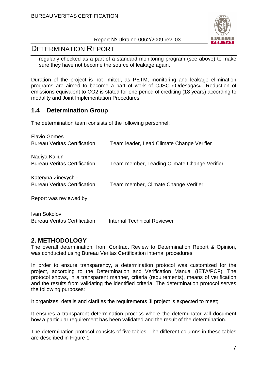

# DETERMINATION REPORT

regularly checked as a part of a standard monitoring program (see above) to make sure they have not become the source of leakage again.

Duration of the project is not limited, as PETM, monitoring and leakage elimination programs are aimed to become a part of work of OJSC «Odesagas». Reduction of emissions equivalent to CO2 is stated for one period of crediting (18 years) according to modality and Joint Implementation Procedures.

#### **1.4 Determination Group**

The determination team consists of the following personnel:

| <b>Flavio Gomes</b><br><b>Bureau Veritas Certification</b>     | Team leader, Lead Climate Change Verifier    |
|----------------------------------------------------------------|----------------------------------------------|
| Nadiya Kaiiun<br><b>Bureau Veritas Certification</b>           | Team member, Leading Climate Change Verifier |
| Kateryna Zinevych -                                            |                                              |
| <b>Bureau Veritas Certification</b><br>Report was reviewed by: | Team member, Climate Change Verifier         |
|                                                                |                                              |

Ivan Sokolov Bureau Veritas Certification Internal Technical Reviewer

### **2. METHODOLOGY**

The overall determination, from Contract Review to Determination Report & Opinion, was conducted using Bureau Veritas Certification internal procedures.

In order to ensure transparency, a determination protocol was customized for the project, according to the Determination and Verification Manual (IETA/PCF). The protocol shows, in a transparent manner, criteria (requirements), means of verification and the results from validating the identified criteria. The determination protocol serves the following purposes:

It organizes, details and clarifies the requirements JI project is expected to meet;

It ensures a transparent determination process where the determinator will document how a particular requirement has been validated and the result of the determination.

The determination protocol consists of five tables. The different columns in these tables are described in Figure 1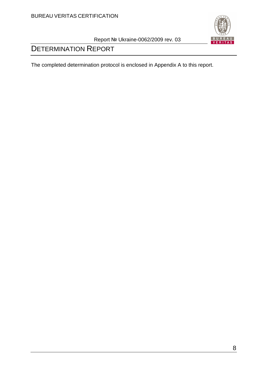

# DETERMINATION REPORT

The completed determination protocol is enclosed in Appendix A to this report.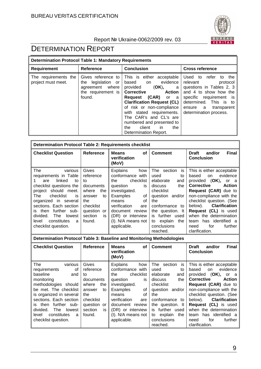

| <b>Determination Protocol Table 1: Mandatory Requirements</b> |                                                                                                |                                                                                                                                                                                                                                                                                                                                                                        |                                                                                                                                                                                                                         |  |  |  |
|---------------------------------------------------------------|------------------------------------------------------------------------------------------------|------------------------------------------------------------------------------------------------------------------------------------------------------------------------------------------------------------------------------------------------------------------------------------------------------------------------------------------------------------------------|-------------------------------------------------------------------------------------------------------------------------------------------------------------------------------------------------------------------------|--|--|--|
| Requirement                                                   | <b>Reference</b>                                                                               | <b>Conclusion</b>                                                                                                                                                                                                                                                                                                                                                      | <b>Cross reference</b>                                                                                                                                                                                                  |  |  |  |
| The requirements the<br>project must meet.                    | Gives reference to<br>legislation or<br>the<br>agreement where<br>the requirement is<br>found. | This is either<br>acceptable<br>evidence<br>based<br>on<br>provided<br>(OK),<br>a<br><b>Corrective</b><br><b>Action</b><br>(CAR)<br>Reguest<br>or<br>a a<br><b>Clarification Request (CL)</b><br>of risk or non-compliance<br>with stated requirements.<br>The CAR's and CL's are<br>numbered and presented to<br>client<br>the<br>the<br>in.<br>Determination Report. | Used to<br>refer<br>the<br>to<br>relevant<br>protocol<br>questions in Tables 2, 3<br>and 4 to show how the<br>specific<br>requirement is<br>determined. This is to<br>transparent<br>ensure a<br>determination process. |  |  |  |

| <b>Determination Protocol Table 2: Requirements checklist</b>                                                                                                                                                                                                                                             |                                                                                                                                      |                                                                                                                                                                                                                                        |                                                                                                                                                                                                                                 |                                                                                                                                                                                                                                                                                                                                                                   |  |
|-----------------------------------------------------------------------------------------------------------------------------------------------------------------------------------------------------------------------------------------------------------------------------------------------------------|--------------------------------------------------------------------------------------------------------------------------------------|----------------------------------------------------------------------------------------------------------------------------------------------------------------------------------------------------------------------------------------|---------------------------------------------------------------------------------------------------------------------------------------------------------------------------------------------------------------------------------|-------------------------------------------------------------------------------------------------------------------------------------------------------------------------------------------------------------------------------------------------------------------------------------------------------------------------------------------------------------------|--|
| <b>Checklist Question</b>                                                                                                                                                                                                                                                                                 | <b>Reference</b>                                                                                                                     | <b>Means</b><br>of<br>verification<br>(MoV)                                                                                                                                                                                            | <b>Comment</b>                                                                                                                                                                                                                  | <b>Final</b><br><b>Draft</b><br>and/or<br><b>Conclusion</b>                                                                                                                                                                                                                                                                                                       |  |
| The<br>various<br>requirements in Table<br>linked<br>to<br>are<br>checklist questions the<br>project should meet.<br>checklist<br>The<br>is<br>organized in several<br>sections. Each section<br>further sub-<br>is then<br>divided.<br>lowest<br>The<br>constitutes<br>level<br>a<br>checklist question. | Gives<br>reference<br>to<br>documents<br>where<br>the<br>to<br>answer<br>the<br>checklist<br>question or<br>section<br>is.<br>found. | <b>Explains</b><br>how<br>conformance with<br>checklist<br>the<br>question<br>is<br>investigated.<br>Examples<br>οf<br>οf<br>means<br>verification<br>are<br>document review<br>(DR) or interview<br>(I). N/A means not<br>applicable. | section<br>The<br>is<br>used<br>to<br>elaborate<br>and<br>discuss<br>the<br>checklist<br>question and/or<br>the<br>conformance to<br>the question. It<br>further used<br>is.<br>explain<br>the<br>to<br>conclusions<br>reached. | This is either acceptable<br>evidence<br>based<br>on.<br>provided (OK),<br>or a<br><b>Corrective</b><br><b>Action</b><br>Request (CAR) due to<br>non-compliance with the<br>checklist question. (See<br><b>Clarification</b><br>below).<br>Request (CL) is used<br>when the determination<br>has identified a<br>team<br>for<br>further<br>need<br>clarification. |  |
| Determination Protocol Table 3: Baseline and Monitoring Methodologies                                                                                                                                                                                                                                     |                                                                                                                                      |                                                                                                                                                                                                                                        |                                                                                                                                                                                                                                 |                                                                                                                                                                                                                                                                                                                                                                   |  |
| <b>Checklist Question</b>                                                                                                                                                                                                                                                                                 | <b>Reference</b>                                                                                                                     | <b>Means</b><br>of<br>verification<br>(MoV)                                                                                                                                                                                            | <b>Comment</b>                                                                                                                                                                                                                  | <b>Final</b><br>and/or<br><b>Draft</b><br><b>Conclusion</b>                                                                                                                                                                                                                                                                                                       |  |
| The<br>various<br>requirements<br>οf<br>baseline<br>and                                                                                                                                                                                                                                                   | Gives<br>reference<br>to.                                                                                                            | <b>Explains</b><br>how<br>conformance with<br>checklist<br>the                                                                                                                                                                         | The<br>section<br>is<br>used<br>to<br>elaborate<br>and                                                                                                                                                                          | This is either acceptable<br>evidence<br>based<br><b>on</b><br>$(OK)$ .<br>provided<br>or al                                                                                                                                                                                                                                                                      |  |

| .<br>,,,,,,,,             |               | - ~ ~ ~ ~ ~<br>.                   | 11000000011<br>.     | <b>THIS IS SITION ASSOCIATION</b> |
|---------------------------|---------------|------------------------------------|----------------------|-----------------------------------|
| requirements<br>οf        | reference     | conformance with                   | used<br>to           | evidence<br>based<br>on           |
| baseline<br>and           | to            | checklist  <br>the                 | elaborate<br>and     | provided (OK),<br>or a            |
| monitoring                | documents     | question<br>İS.                    | the<br>discuss       | Corrective<br>Action              |
| methodologies should      | where<br>the  | investigated.                      | checklist            | Request (CAR) due to              |
| be met. The checklist     | answer<br>to  | Examples<br>of I                   | and/or I<br>question | non-compliance with the           |
| is organized in several   | the           | οf<br>means                        | the                  | checklist question. (See          |
| sections. Each section    | checklist     | verification<br>are                | conformance to       | <b>Clarification</b><br>below).   |
| is then further sub-      | question or   | document review   the question. It |                      | <b>Request (CL)</b> is used       |
| divided. The lowest       | section<br>is | (DR) or interview I                | is further used      | when the determination            |
| constitutes<br>level<br>a | found.        | $(I)$ . N/A means not              | to explain the       | team has identified a             |
| checklist question.       |               | applicable.                        | conclusions          | further<br>for<br>need            |
|                           |               |                                    | reached.             | clarification.                    |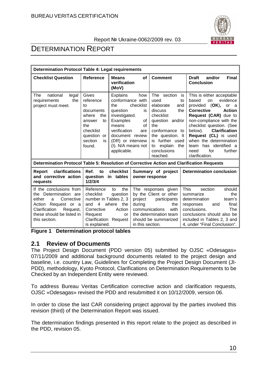

# DETERMINATION REPORT

| <b>Determination Protocol Table 4: Legal requirements</b>                                                                                                                          |                                                                                                                                     |                                                                                                                                                                                           |                                                         |                                                                                                                                                                                                              |                                                                                                                                                                                                                                                                                                                                                                              |
|------------------------------------------------------------------------------------------------------------------------------------------------------------------------------------|-------------------------------------------------------------------------------------------------------------------------------------|-------------------------------------------------------------------------------------------------------------------------------------------------------------------------------------------|---------------------------------------------------------|--------------------------------------------------------------------------------------------------------------------------------------------------------------------------------------------------------------|------------------------------------------------------------------------------------------------------------------------------------------------------------------------------------------------------------------------------------------------------------------------------------------------------------------------------------------------------------------------------|
| <b>Checklist Question</b>                                                                                                                                                          | Reference                                                                                                                           | <b>Means</b><br>verification<br>(MoV)                                                                                                                                                     | <b>of</b>                                               | <b>Comment</b>                                                                                                                                                                                               | <b>Final</b><br>and/or<br><b>Draft</b><br><b>Conclusion</b>                                                                                                                                                                                                                                                                                                                  |
| The<br>national<br>legal<br>requirements<br>the<br>project must meet.                                                                                                              | Gives<br>reference<br>to<br>documents<br>the<br>where<br>to<br>answer<br>the<br>checklist<br>question or<br>section<br>is<br>found. | <b>Explains</b><br>conformance with<br>the<br>question<br>investigated.<br>Examples<br>means<br>verification<br>document review<br>(DR) or interview<br>(I). N/A means not<br>applicable. | how<br>checklist<br>is<br>οf<br>οf<br>are               | The section<br>used<br>elaborate<br>and<br>the<br>discuss<br>checklist<br>question and/or<br>the<br>conformance to<br>the question. It<br>is further used<br>explain<br>the<br>to<br>conclusions<br>reached. | This is either acceptable<br>is<br>evidence<br>based<br>to<br>on<br>provided (OK),<br>or a<br><b>Action</b><br><b>Corrective</b><br>Request (CAR) due to<br>non-compliance with the<br>checklist question. (See<br>below).<br><b>Clarification</b><br>Request (CL) is used<br>when the determination<br>has identified a<br>team<br>for<br>further<br>need<br>clarification. |
| Determination Protocol Table 5: Resolution of Corrective Action and Clarification Requests                                                                                         |                                                                                                                                     |                                                                                                                                                                                           |                                                         |                                                                                                                                                                                                              |                                                                                                                                                                                                                                                                                                                                                                              |
| clarifications<br>Report<br>and corrective action<br>requests                                                                                                                      | Ref.<br>to<br>question<br>1/2/3/4                                                                                                   | checklist<br>in tables                                                                                                                                                                    |                                                         | Summary of project<br>owner response                                                                                                                                                                         | <b>Determination conclusion</b>                                                                                                                                                                                                                                                                                                                                              |
| If the conclusions from<br>the Determination are<br>Corrective<br>either<br>a<br>Action<br>Request or a<br>Clarification<br>Request,<br>these should be listed in<br>this section. | Reference<br>checklist<br>number in Tables 2, 3<br>$\overline{4}$<br>and<br>Corrective<br>Request<br>Clarification<br>is explained. | the<br>to<br>question<br>where<br>the<br>Action<br>or<br>Request                                                                                                                          | project<br>during<br>communications<br>in this section. | The responses given<br>by the Client or other<br>participants<br>the<br>with<br>the determination team<br>should be summarized                                                                               | <b>This</b><br>should<br>section<br>the<br>summarize<br>determination<br>team's<br>final<br>responses<br>and<br>conclusions.<br>The<br>conclusions should also be<br>included in Tables 2, 3 and<br>4, under "Final Conclusion".                                                                                                                                             |

**Figure 1 Determination protocol tables** 

#### **2.1 Review of Documents**

The Project Design Document (PDD version 05) submitted by OJSC «Odesagas» 07/11/2009 and additional background documents related to the project design and baseline, i.e. country Law, Guidelines for Completing the Project Design Document (JI-PDD), methodology, Kyoto Protocol, Clarifications on Determination Requirements to be Checked by an Independent Entity were reviewed.

To address Bureau Veritas Certification corrective action and clarification requests, OJSC «Odesagas» revised the PDD and resubmitted it on 10/12/2009, version 06.

In order to close the last CAR considering project approval by the parties involved this revision (third) of the Determination Report was issued.

The determination findings presented in this report relate to the project as described in the PDD, revision 05.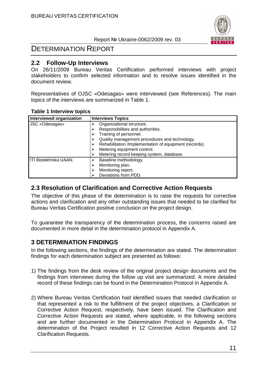

# DETERMINATION REPORT

#### **2.2 Follow-Up Interviews**

On 26/11/2009 Bureau Veritas Certification performed interviews with project stakeholders to confirm selected information and to resolve issues identified in the document review.

Representatives of OJSC «Odesagas» were interviewed (see References). The main topics of the interviews are summarized in Table 1.

#### **Table 1 Interview topics**

| Interviewed organization | <b>Interviews Topics</b>                                                                                                                                                                                                                                                        |
|--------------------------|---------------------------------------------------------------------------------------------------------------------------------------------------------------------------------------------------------------------------------------------------------------------------------|
| JSC «Odesagas»           | Organizational structure.<br>Responsibilities and authorities.<br>Training of personnel.<br>Quality management procedures and technology.<br>Rehabilitation /Implementation of equipment (records).<br>Metering equipment control.<br>Metering record keeping system, database. |
| ITI Biotekhnika UAAN.    | Baseline methodology.<br>Monitoring plan.<br>Monitoring report.<br>Deviations from PDD.                                                                                                                                                                                         |

#### **2.3 Resolution of Clarification and Corrective Action Requests**

The objective of this phase of the determination is to raise the requests for corrective actions and clarification and any other outstanding issues that needed to be clarified for Bureau Veritas Certification positive conclusion on the project design.

To guarantee the transparency of the determination process, the concerns raised are documented in more detail in the determination protocol in Appendix A.

### **3 DETERMINATION FINDINGS**

In the following sections, the findings of the determination are stated. The determination findings for each determination subject are presented as follows:

- 1) The findings from the desk review of the original project design documents and the findings from interviews during the follow up visit are summarized. A more detailed record of these findings can be found in the Determination Protocol in Appendix A.
- 2) Where Bureau Veritas Certification had identified issues that needed clarification or that represented a risk to the fulfillment of the project objectives, a Clarification or Corrective Action Request, respectively, have been issued. The Clarification and Corrective Action Requests are stated, where applicable, in the following sections and are further documented in the Determination Protocol in Appendix A. The determination of the Project resulted in 12 Corrective Action Requests and 12 Clarification Requests.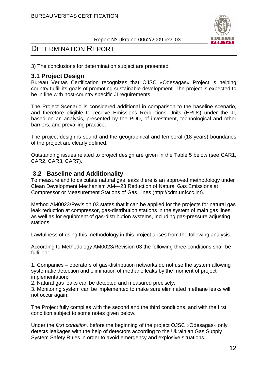

# DETERMINATION REPORT

3) The conclusions for determination subject are presented.

#### **3.1 Project Design**

Bureau Veritas Certification recognizes that OJSC «Odesagas» Project is helping country fulfill its goals of promoting sustainable development. The project is expected to be in line with host-country specific JI requirements.

The Project Scenario is considered additional in comparison to the baseline scenario, and therefore eligible to receive Emissions Reductions Units (ERUs) under the JI, based on an analysis, presented by the PDD, of investment, technological and other barriers, and prevailing practice.

The project design is sound and the geographical and temporal (18 years) boundaries of the project are clearly defined.

Outstanding issues related to project design are given in the Table 5 below (see CAR1, CAR2, CAR3, CAR7).

#### **3.2 Baseline and Additionality**

To measure and to calculate natural gas leaks there is an approved methodology under Clean Development Mechanism AM—23 Reduction of Natural Gas Emissions at Compressor or Measurement Stations of Gas Lines (http://cdm.unfccc.int).

Method AM0023/Revision 03 states that it can be applied for the projects for natural gas leak reduction at compressor, gas-distribution stations in the system of main gas lines, as well as for equipment of gas-distribution systems, including gas-pressure adjusting stations.

Lawfulness of using this methodology in this project arises from the following analysis.

According to Methodology AM0023/Revision 03 the following three conditions shall be fulfilled:

1. Companies – operators of gas-distribution networks do not use the system allowing systematic detection and elimination of methane leaks by the moment of project implementation;

2. Natural gas leaks can be detected and measured precisely;

3. Monitoring system can be implemented to make sure eliminated methane leaks will not occur again.

The Project fully complies with the second and the third conditions, and with the first condition subject to some notes given below.

Under the first condition, before the beginning of the project OJSC «Odesagas» only detects leakages with the help of detectors according to the Ukrainian Gas Supply System Safety Rules in order to avoid emergency and explosive situations.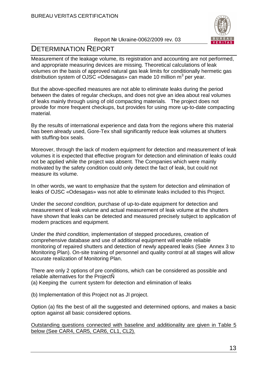

# DETERMINATION REPORT

Measurement of the leakage volume, its registration and accounting are not performed, and appropriate measuring devices are missing. Theoretical calculations of leak volumes on the basis of approved natural gas leak limits for conditionally hermetic gas distribution system of OJSC «Odesagas» can made 10 million m<sup>3</sup> per year.

But the above-specified measures are not able to eliminate leaks during the period between the dates of regular checkups, and does not give an idea about real volumes of leaks mainly through using of old compacting materials. The project does not provide for more frequent checkups, but provides for using more up-to-date compacting material.

By the results of international experience and data from the regions where this material has been already used, Gore-Tex shall significantly reduce leak volumes at shutters with stuffing-box seals.

Moreover, through the lack of modern equipment for detection and measurement of leak volumes it is expected that effective program for detection and elimination of leaks could not be applied while the project was absent. The Companies which were mainly motivated by the safety condition could only detect the fact of leak, but could not measure its volume.

In other words, we want to emphasize that the system for detection and elimination of leaks of OJSC «Odesagas» was not able to eliminate leaks included to this Project.

Under the second condition, purchase of up-to-date equipment for detection and measurement of leak volume and actual measurement of leak volume at the shutters have shown that leaks can be detected and measured precisely subject to application of modern practices and equipment.

Under the third condition, implementation of stepped procedures, creation of comprehensive database and use of additional equipment will enable reliable monitoring of repaired shutters and detection of newly appeared leaks (See Annex 3 to Monitoring Plan). On-site training of personnel and quality control at all stages will allow accurate realization of Monitoring Plan.

There are only 2 options of pre conditions, which can be considered as possible and reliable alternatives for the ProjectÑ

(a) Keeping the current system for detection and elimination of leaks

(b) Implementation of this Project not as JI project.

Option (a) fits the best of all the suggested and determined options, and makes a basic option against all basic considered options.

Outstanding questions connected with baseline and additionality are given in Table 5 below (See CAR4, CAR5, CAR6, CL1, CL2).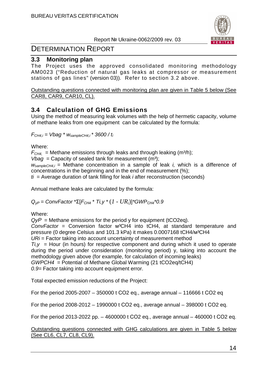

# DETERMINATION REPORT

#### **3.3 Monitoring plan**

The Project uses the approved consolidated monitoring methodology AM0023 ("Reduction of natural gas leaks at compressor or measurement stations of gas lines" (version 03)). Refer to section 3.2 above.

Outstanding questions connected with monitoring plan are given in Table 5 below (See CAR8, CAR9, CAR10, CL).

## **3.4 Calculation of GHG Emissions**

Using the method of measuring leak volumes with the help of hermetic capacity, volume of methane leaks from one equipment can be calculated by the formula:

 $F_{CH4,i}$  = Vbag \*  $W_{sampleCH4,i}$  \* 3600 /  $t_i$ 

Where:

 $F<sub>CH4</sub>$  = Methane emissions through leaks and through leaking (m<sup>3</sup>/h);

*Vbag* = Capacity of sealed tank for measurement  $(m^3)$ ;

 $W_{sampleCH4,i}$  = Methane concentration in a sample of leak *i*, which is a difference of concentrations in the beginning and in the end of measurement (%);

 $t_i$  = Average duration of tank filling for leak *i* after reconstruction (seconds)

Annual methane leaks are calculated by the formula:

Q*уР* = ConvFactor \*Σ[F*СН*<sup>4</sup> \* Ti,y \* (*1 - URi*)]\*GWP*СН*<sup>4</sup>\*0.9

Where:

Qy*Р* = Methane emissions for the period y for equipment (tCO2eq).

ConvFactor = Conversion factor  $M^3CH4$  into tCH4, at standard temperature and pressure (0 degree Celsius and 101.3 kPa) it makes 0.0007168 tCH4/м<sup>3</sup>CH4

 $URi =$  Factor taking into account uncertainty of measurement method

 $Ti. \gamma$  = Hour (in hours) for respective component and during which it used to operate during the period under consideration (monitoring period) y, taking into account the methodology given above (for example, for calculation of incoming leaks) GWPCH4 = Potential of Methane Global Warming (21 tCO2eq/tCH4)

0.9 = Factor taking into account equipment error.

Total expected emission reductions of the Project:

For the period 2005-2007 – 350000 t СО2 eq., average annual – 116666 t СО2 eq

For the period 2008-2012 – 1990000 t СО2 eq., average annual – 398000 t СО2 eq.

For the period 2013-2022 рр. – 4600000 t СО2 eq., average annual – 460000 t СО2 eq.

#### Outstanding questions connected with GHG calculations are given in Table 5 below (See CL6, CL7, CL8, CL9).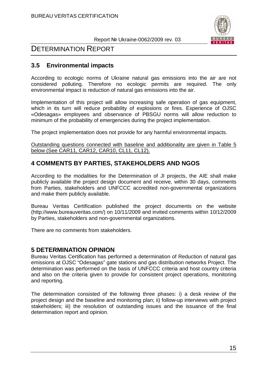

# DETERMINATION REPORT

### **3.5 Environmental impacts**

According to ecologic norms of Ukraine natural gas emissions into the air are not considered polluting. Therefore no ecologic permits are required. The only environmental impact is reduction of natural gas emissions into the air.

Implementation of this project will allow increasing safe operation of gas equipment, which in its turn will reduce probability of explosions or fires. Experience of OJSC «Odesagas» employees and observance of PBSGU norms will allow reduction to minimum of the probability of emergencies during the project implementation.

The project implementation does not provide for any harmful environmental impacts.

Outstanding questions connected with baseline and additionality are given in Table 5 below (See CAR11, CAR12, CAR10, CL11, CL12).

## **4 COMMENTS BY PARTIES, STAKEHOLDERS AND NGOS**

According to the modalities for the Determination of JI projects, the AIE shall make publicly available the project design document and receive, within 30 days, comments from Parties, stakeholders and UNFCCC accredited non-governmental organizations and make them publicly available.

Bureau Veritas Certification published the project documents on the website (http://www.bureauveritas.com/) on 10/11/2009 and invited comments within 10/12/2009 by Parties, stakeholders and non-governmental organizations.

There are no comments from stakeholders.

#### **5 DETERMINATION OPINION**

Bureau Veritas Certification has performed a determination of Reduction of natural gas emissions at OJSC "Odesagas" gate stations and gas distribution networks Project. The determination was performed on the basis of UNFCCC criteria and host country criteria and also on the criteria given to provide for consistent project operations, monitoring and reporting.

The determination consisted of the following three phases: i) a desk review of the project design and the baseline and monitoring plan; ii) follow-up interviews with project stakeholders; iii) the resolution of outstanding issues and the issuance of the final determination report and opinion.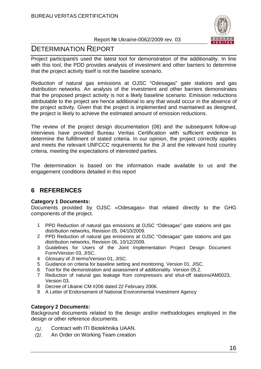

# DETERMINATION REPORT

Project participant/s used the latest tool for demonstration of the additionality. In line with this tool, the PDD provides analysis of investment and other barriers to determine that the project activity itself is not the baseline scenario.

Reduction of natural gas emissions at OJSC "Odesagas" gate stations and gas distribution networks. An analysis of the investment and other barriers demonstrates that the proposed project activity is not a likely baseline scenario. Emission reductions attributable to the project are hence additional to any that would occur in the absence of the project activity. Given that the project is implemented and maintained as designed, the project is likely to achieve the estimated amount of emission reductions.

The review of the project design documentation (06) and the subsequent follow-up interviews have provided Bureau Veritas Certification with sufficient evidence to determine the fulfillment of stated criteria. In our opinion, the project correctly applies and meets the relevant UNFCCC requirements for the JI and the relevant host country criteria, meeting the expectations of interested parties.

The determination is based on the information made available to us and the engagement conditions detailed in this report

# **6 REFERENCES**

#### **Category 1 Documents:**

Documents provided by OJSC «Odesagas» that related directly to the GHG components of the project.

- 1 PPD Reduction of natural gas emissions at OJSC "Odesagas" gate stations and gas distribution networks, Revision 05, 04/10/2009.
- 2 PPD Reduction of natural gas emissions at OJSC "Odesagas" gate stations and gas distribution networks, Revision 06, 10/12/2009.
- 3 Guidelines for Users of the Joint Implementation Project Design Document Form/Version 03, JISC.
- 4 Glossary of JI terms/Version 01, JISC.
- 5 Guidance on criteria for baseline setting and monitoring. Version 01. JISC.
- 6 Tool for the demonstration and assessment of additionality. Version 05.2.
- 7 Reduction of natural gas leakage from compressors and shut-off stations/AM0023, Version 03.
- 8 Decree of Ukaine CM #206 dated 22 February 2006.
- 9 A Letter of Endorsement of National Environmental Investment Agency

#### **Category 2 Documents:**

Background documents related to the design and/or methodologies employed in the design or other reference documents.

- /1/. Contract with ITI Biotekhnika UAAN.
- /2/. An Order on Working Team creation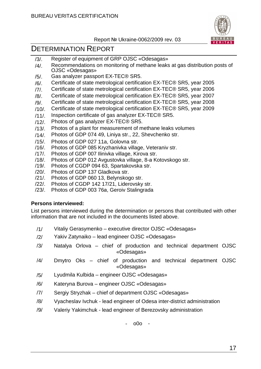

# DETERMINATION REPORT

- /3/. Register of equipment of GRP OJSC «Odesagas»
- /4/. Recommendations on monitoring of methane leaks at gas distribution posts of OJSC «Odesagas»
- /5/. Gas analyzer passport EX-TEC® SR5.
- /6/. Certificate of state metrological certification EX-TEC® SR5, year 2005
- /7/. Certificate of state metrological certification EX-TEC® SR5, year 2006
- /8/. Certificate of state metrological certification EX-TEC® SR5, year 2007
- /9/. Certificate of state metrological certification EX-TEC® SR5, year 2008
- /10/. Certificate of state metrological certification EX-TEC® SR5, year 2009
- /11/. Inspection certificate of gas analyzer EX-TEC® SR5.
- /12/. Photos of gas analyzer EX-TEC® SR5.
- /13/. Photos of a plant for measurement of methane leaks volumes
- /14/. Photos of GDP 074 49, Liniya str., 22, Shevchenko str.
- /15/. Photos of GDP 027 11a, Golovna str.
- /16/. Photos of GDP 085 Kryzhanivka village, Veteraniv str.
- /17/. Photos of GDP 007 Ilinivka village, Kirova str.
- /18/. Photos of GDP 012 Avgustovka village, 8-а Kotovskogo str.
- /19/. Photos of CGDP 094 63, Spartakovska str.
- /20/. Photos of GDP 137 Gladkova str.
- /21/. Photos of GDP 060 13, Belynskogo str.
- /22/. Photos of CGDP 142 17/21, Liderovsky str.
- /23/. Photos of GDP 003 76а, Geroiv Stalingrada

#### **Persons interviewed:**

List persons interviewed during the determination or persons that contributed with other information that are not included in the documents listed above.

- /1/ Vitaliy Gerasymenko executive director OJSC «Odesagas»
- /2/ Yakiv Zatynaiko lead engineer OJSC «Odesagas»
- /3/ Natalya Orlova chief of production and technical department OJSC «Odesagas»
- /4/ Dmytro Oks chief of production and technical department OJSC «Odesagas»
- /5/ Lyudmila Kulbida engineer OJSC «Odesagas»
- /6/ Kateryna Burova engineer OJSC «Odesagas»
- /7/ Sergiy Stryzhak chief of department OJSC «Odesagas»
- /8/ Vyacheslav Ivchuk lead engineer of Odesa inter-district administration
- /9/ Valeriy Yakimchuk lead engineer of Berezovsky administration

- o0o -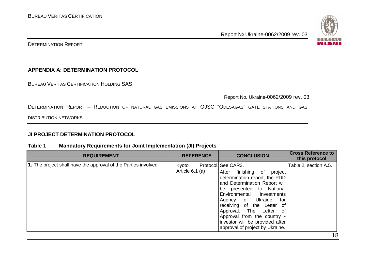

DETERMINATION REPORT

#### **APPENDIX A: DETERMINATION PROTOCOL**

BUREAU VERITAS CERTIFICATION HOLDING SAS

Report No. Ukraine-0062/2009 rev. 03

DETERMINATION REPORT – <sup>R</sup>EDUCTION OF NATURAL GAS EMISSIONS AT OJSC "ODESAGAS" GATE STATIONS AND GAS

DISTRIBUTION NETWORKS

#### **JI PROJECT DETERMINATION PROTOCOL**

#### **Table 1 Mandatory Requirements for Joint Implementation (JI) Projects**

| <b>REQUIREMENT</b>                                             | <b>REFERENCE</b>           | <b>CONCLUSION</b>                                                                                                                                                                                                                                                                                                                                                                 | <b>Cross Reference to</b><br>this protocol |
|----------------------------------------------------------------|----------------------------|-----------------------------------------------------------------------------------------------------------------------------------------------------------------------------------------------------------------------------------------------------------------------------------------------------------------------------------------------------------------------------------|--------------------------------------------|
| 1. The project shall have the approval of the Parties involved | Kyoto<br>Article $6.1$ (a) | Protocol See CAR3.<br>After finishing of<br>project<br>determination report, the PDD<br>and Determination Report will<br>presented to National<br>be<br>Environmental Investments<br>Ukraine<br>Agency of<br>for<br>receiving of the Letter of<br>Approval. The Letter<br>of<br>Approval from the country -<br>investor will be provided after<br>approval of project by Ukraine. | Table 2, section A.5.                      |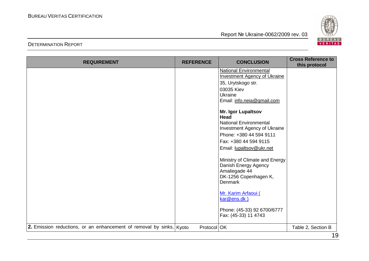

| <b>REQUIREMENT</b>                                                   | <b>REFERENCE</b> | <b>CONCLUSION</b>                                                                                                                                                           | <b>Cross Reference to</b><br>this protocol |
|----------------------------------------------------------------------|------------------|-----------------------------------------------------------------------------------------------------------------------------------------------------------------------------|--------------------------------------------|
|                                                                      |                  | <b>National Environmental</b><br><b>Investment Agency of Ukraine</b>                                                                                                        |                                            |
|                                                                      |                  | 35, Urytskogo str.                                                                                                                                                          |                                            |
|                                                                      |                  | 03035 Kiev                                                                                                                                                                  |                                            |
|                                                                      |                  | Ukraine                                                                                                                                                                     |                                            |
|                                                                      |                  | Email: info.neia@gmail.com                                                                                                                                                  |                                            |
|                                                                      |                  | Mr. Igor Lupaltsov<br>Head<br><b>National Environmental</b><br>Investment Agency of Ukraine<br>Phone: +380 44 594 9111<br>Fax: +380 44 594 9115<br>Email: lupaltsov@ukr.net |                                            |
|                                                                      |                  | Ministry of Climate and Energy<br>Danish Energy Agency<br>Amaliegade 44<br>DK-1256 Copenhagen K,<br><b>Denmark</b>                                                          |                                            |
|                                                                      |                  | Mr. Karim Arfaoui (<br>kar@ens.dk)                                                                                                                                          |                                            |
|                                                                      |                  | Phone: (45-33) 92 6700/6777<br>Fax: (45-33) 11 4743                                                                                                                         |                                            |
| 2. Emission reductions, or an enhancement of removal by sinks, Kyoto | Protocol OK      |                                                                                                                                                                             | Table 2, Section B                         |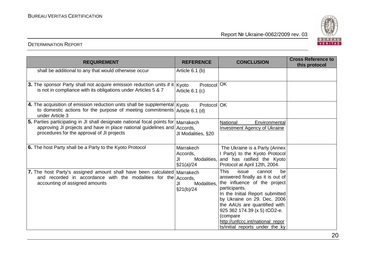

| <b>REQUIREMENT</b>                                                                                                                                                                                           | <b>REFERENCE</b>                                          | <b>CONCLUSION</b>                                                                                                                                                                                                                                                                                                                               | <b>Cross Reference to</b><br>this protocol |
|--------------------------------------------------------------------------------------------------------------------------------------------------------------------------------------------------------------|-----------------------------------------------------------|-------------------------------------------------------------------------------------------------------------------------------------------------------------------------------------------------------------------------------------------------------------------------------------------------------------------------------------------------|--------------------------------------------|
| shall be additional to any that would otherwise occur                                                                                                                                                        | Article $6.1$ (b)                                         |                                                                                                                                                                                                                                                                                                                                                 |                                            |
| 3. The sponsor Party shall not acquire emission reduction units if it   Kyoto<br>is not in compliance with its obligations under Articles 5 & 7                                                              | Protocol <sup>OK</sup><br>Article 6.1 (c)                 |                                                                                                                                                                                                                                                                                                                                                 |                                            |
| 4. The acquisition of emission reduction units shall be supplemental $K$ yoto<br>to domestic actions for the purpose of meeting commitments Article 6.1 (d)<br>under Article 3                               | Protocol OK                                               |                                                                                                                                                                                                                                                                                                                                                 |                                            |
| 5. Parties participating in JI shall designate national focal points for Marrakech<br>approving JI projects and have in place national guidelines and Accords,<br>procedures for the approval of JI projects | JI Modalities, §20                                        | National<br>Environmental<br><b>Investment Agency of Ukraine</b>                                                                                                                                                                                                                                                                                |                                            |
| 6. The host Party shall be a Party to the Kyoto Protocol                                                                                                                                                     | Marrakech<br>Accords,<br>Modalities,<br>JI.<br>\$21(a)/24 | The Ukraine is a Party (Annex<br>I Party) to the Kyoto Protocol<br>and has ratified the Kyoto<br>Protocol at April 12th, 2004.                                                                                                                                                                                                                  |                                            |
| 7. The host Party's assigned amount shall have been calculated Marrakech<br>and recorded in accordance with the modalities for the<br>accounting of assigned amounts                                         | Accords,<br>Modalities,<br>JI<br>\$21(b)/24               | <b>This</b><br>issue<br>cannot<br>be<br>answered finally as it is out of<br>the influence of the project<br>participants.<br>In the Initial Report submitted<br>by Ukraine on 29. Dec. 2006<br>the AAUs are quantified with:<br>925 362 174.39 (x 5) tCO2-e.<br>(compare<br>http://unfccc.int/national_repor<br>ts/initial_reports_under_the_ky |                                            |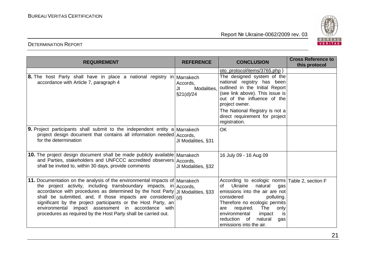

DETERMINATION REPORT

| <b>REQUIREMENT</b>                                                                                                                                                                                                                                                                                                                                                                                                                                                                                | <b>REFERENCE</b>                            | <b>CONCLUSION</b>                                                                                                                                                                                                                                                                                                 | <b>Cross Reference to</b><br>this protocol |
|---------------------------------------------------------------------------------------------------------------------------------------------------------------------------------------------------------------------------------------------------------------------------------------------------------------------------------------------------------------------------------------------------------------------------------------------------------------------------------------------------|---------------------------------------------|-------------------------------------------------------------------------------------------------------------------------------------------------------------------------------------------------------------------------------------------------------------------------------------------------------------------|--------------------------------------------|
| <b>8.</b> The host Party shall have in place a national registry in Marrakech<br>accordance with Article 7, paragraph 4                                                                                                                                                                                                                                                                                                                                                                           | Accords,<br>Modalities,<br>JI<br>\$21(d)/24 | oto_protocol/items/3765.php)<br>The designed system of the<br>national registry has been<br>outlined in the Initial Report<br>(see link above). This issue is<br>out of the influence of the<br>project owner.<br>The National Registry is not a<br>direct requirement for project<br>registration.               |                                            |
| <b>9.</b> Project participants shall submit to the independent entity a Marrakech<br>project design document that contains all information needed Accords,<br>for the determination                                                                                                                                                                                                                                                                                                               | JI Modalities, §31                          | <b>OK</b>                                                                                                                                                                                                                                                                                                         |                                            |
| 10. The project design document shall be made publicly available Marrakech<br>and Parties, stakeholders and UNFCCC accredited observers Accords,<br>shall be invited to, within 30 days, provide comments                                                                                                                                                                                                                                                                                         | JI Modalities, §32                          | 16 July 09 - 16 Aug 09                                                                                                                                                                                                                                                                                            |                                            |
| 11. Documentation on the analysis of the environmental impacts of Marrakech<br>the project activity, including transboundary impacts, in $ $ Accords,<br>accordance with procedures as determined by the host Party JJ Modalities, §33<br>shall be submitted, and, if those impacts are considered $(d)$<br>significant by the project participants or the Host Party, an<br>environmental impact assessment in accordance with<br>procedures as required by the Host Party shall be carried out. |                                             | According to ecologic norms   Table 2, section F<br>Ukraine<br>natural<br>Ωf<br>qas<br>emissions into the air are not<br>considered<br>polluting.<br>Therefore no ecologic permits<br>are required.<br>The<br>only<br>environmental<br>impact<br>is.<br>natural<br>reduction of<br>gas<br>emissions into the air. |                                            |

21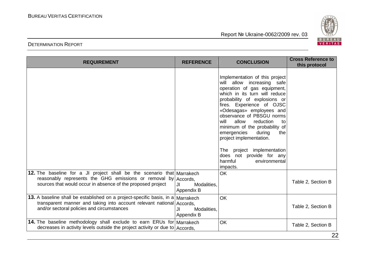

| <b>REQUIREMENT</b>                                                                                                                                                                                      | <b>REFERENCE</b>                 | <b>CONCLUSION</b>                                                                                                                                                                                                                                                                                                                                                                                                                                                                       | <b>Cross Reference to</b><br>this protocol |
|---------------------------------------------------------------------------------------------------------------------------------------------------------------------------------------------------------|----------------------------------|-----------------------------------------------------------------------------------------------------------------------------------------------------------------------------------------------------------------------------------------------------------------------------------------------------------------------------------------------------------------------------------------------------------------------------------------------------------------------------------------|--------------------------------------------|
|                                                                                                                                                                                                         |                                  | Implementation of this project<br>will allow increasing safe<br>operation of gas equipment,<br>which in its turn will reduce<br>probability of explosions or<br>fires. Experience of OJSC<br>«Odesagas» employees and<br>observance of PBSGU norms<br>allow<br>reduction<br>will<br>to<br>minimum of the probability of<br>emergencies<br>during<br>the<br>project implementation.<br>project implementation<br>The<br>does not provide for any<br>harmful<br>environmental<br>impacts. |                                            |
| 12. The baseline for a JI project shall be the scenario that Marrakech<br>reasonably represents the GHG emissions or removal by Accords,<br>sources that would occur in absence of the proposed project | Modalities,<br>JI.<br>Appendix B | <b>OK</b>                                                                                                                                                                                                                                                                                                                                                                                                                                                                               | Table 2, Section B                         |
| 13. A baseline shall be established on a project-specific basis, in a Marrakech<br>transparent manner and taking into account relevant national Accords,<br>and/or sectoral policies and circumstances  | JI<br>Modalities,<br>Appendix B  | <b>OK</b>                                                                                                                                                                                                                                                                                                                                                                                                                                                                               | Table 2, Section B                         |
| 14. The baseline methodology shall exclude to earn ERUs for Marrakech<br>decreases in activity levels outside the project activity or due to Accords,                                                   |                                  | <b>OK</b>                                                                                                                                                                                                                                                                                                                                                                                                                                                                               | Table 2, Section B                         |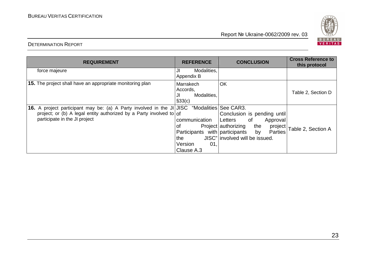

| <b>REQUIREMENT</b>                                                                                                                                                                                         | <b>REFERENCE</b>                                                                             | <b>CONCLUSION</b>                                                                                                                             |                              |
|------------------------------------------------------------------------------------------------------------------------------------------------------------------------------------------------------------|----------------------------------------------------------------------------------------------|-----------------------------------------------------------------------------------------------------------------------------------------------|------------------------------|
| force majeure                                                                                                                                                                                              | Modalities,<br>JI<br>Appendix B                                                              |                                                                                                                                               |                              |
| 15. The project shall have an appropriate monitoring plan                                                                                                                                                  | Marrakech<br>Accords,<br>Modalities,<br>JI<br>§33(c)                                         | OK                                                                                                                                            | Table 2, Section D           |
| <b>16.</b> A project participant may be: (a) A Party involved in the JI JJSC "Modalities See CAR3.<br>project; or (b) A legal entity authorized by a Party involved to of<br>participate in the JI project | communication<br>οt<br>Participants with participants<br>the<br>Version<br>01,<br>Clause A.3 | Conclusion is pending until<br>of<br>Letters<br>Approval<br>Project authorizing the<br>by<br><b>Parties</b><br>JISC" involved will be issued. | project   Table 2, Section A |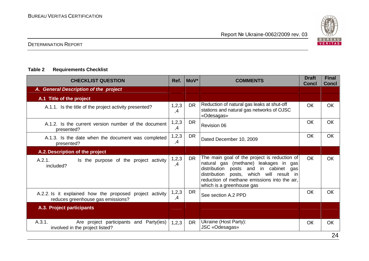

#### DETERMINATION REPORT

#### **Table 2 Requirements Checklist**

| <b>CHECKLIST QUESTION</b>                                                                     | Ref.          | MoV <sup>*</sup> | <b>COMMENTS</b>                                                                                                                                                                                                                                            | <b>Draft</b><br><b>Concl</b> | <b>Final</b><br><b>Concl</b> |
|-----------------------------------------------------------------------------------------------|---------------|------------------|------------------------------------------------------------------------------------------------------------------------------------------------------------------------------------------------------------------------------------------------------------|------------------------------|------------------------------|
| A. General Description of the project                                                         |               |                  |                                                                                                                                                                                                                                                            |                              |                              |
| A.1 Title of the project                                                                      |               |                  |                                                                                                                                                                                                                                                            |                              |                              |
| A.1.1. Is the title of the project activity presented?                                        | 1,2,3<br>,4   | <b>DR</b>        | Reduction of natural gas leaks at shut-off<br>stations and natural gas networks of OJSC<br>«Odesagas»                                                                                                                                                      | <b>OK</b>                    | <b>OK</b>                    |
| A.1.2. Is the current version number of the document<br>presented?                            | 1,2,3<br>,4   | <b>DR</b>        | <b>Revision 06</b>                                                                                                                                                                                                                                         | OK                           | <b>OK</b>                    |
| A.1.3. Is the date when the document was completed<br>presented?                              | 1, 2, 3<br>,4 | DR               | Dated December 10, 2009                                                                                                                                                                                                                                    | <b>OK</b>                    | <b>OK</b>                    |
| A.2. Description of the project                                                               |               |                  |                                                                                                                                                                                                                                                            |                              |                              |
| A.2.1.<br>Is the purpose of the project activity<br>included?                                 | 1, 2, 3<br>,4 | <b>DR</b>        | The main goal of the project is reduction of<br>natural gas (methane) leakages in gas<br>distribution posts and in cabinet<br>gas<br>distribution posts, which will result in<br>reduction of methane emissions into the air,<br>which is a greenhouse gas | <b>OK</b>                    | <b>OK</b>                    |
| A.2.2. Is it explained how the proposed project activity<br>reduces greenhouse gas emissions? | 1,2,3<br>,4   | DR               | See section A.2 PPD                                                                                                                                                                                                                                        | OK                           | <b>OK</b>                    |
| A.3. Project participants                                                                     |               |                  |                                                                                                                                                                                                                                                            |                              |                              |
| A.3.1.<br>Are project participants and Party(ies)<br>involved in the project listed?          | 1,2,3         | <b>DR</b>        | Ukraine (Host Party):<br>JSC «Odesagas»                                                                                                                                                                                                                    | OK                           | <b>OK</b><br>$\Omega$        |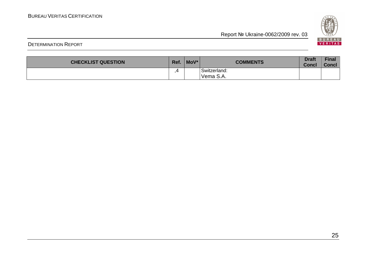

| <b>CHECKLIST QUESTION</b> | Ref. | MoV* | <b>COMMENTS</b>           | <b>Draft</b><br><b>Concl</b> | Final<br><b>Concl</b> |
|---------------------------|------|------|---------------------------|------------------------------|-----------------------|
|                           | Д    |      | Switzerland:<br>Vema S.A. |                              |                       |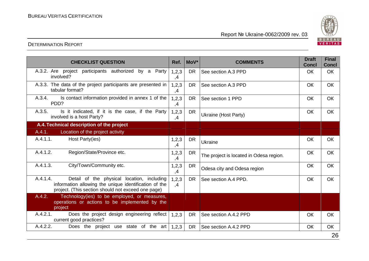

| A.3.2. Are project participants authorized by a Party<br>1,2,3<br><b>DR</b><br>See section A.3 PPD<br><b>OK</b><br><b>OK</b><br>involved?<br>,4<br>A.3.3. The data of the project participants are presented in<br>1,2,3<br><b>DR</b><br>See section A.3 PPD<br>OK<br>OK<br>tabular format?<br>,4<br>Is contact information provided in annex 1 of the<br>A.3.4.<br>1,2,3<br><b>DR</b><br>OK<br>OK<br>See section 1 PPD<br>PDD?<br>,4<br>A.3.5.<br>Is it indicated, if it is the case, if the Party<br>1,2,3<br><b>DR</b><br>OK<br>OK<br>Ukraine (Host Party)<br>involved is a host Party?<br>,4<br>A.4. Technical description of the project<br>Location of the project activity<br>A.4.1.<br>A.4.1.1.<br>Host Party(ies)<br>OK<br>1,2,3<br><b>DR</b><br>OK<br>Ukraine<br>,4<br>A.4.1.2.<br>Region/State/Province etc.<br>1,2,3<br>OK<br>OK<br><b>DR</b><br>The project is located in Odesa region.<br>,4<br>A.4.1.3.<br>City/Town/Community etc.<br>1, 2, 3<br>OK<br>OK<br><b>DR</b><br>Odesa city and Odesa region<br>,4<br>A.4.1.4.<br>Detail of the physical location, including<br>1,2,3<br><b>DR</b><br>See section A.4 PPD.<br>OK<br>OK<br>information allowing the unique identification of the<br>,4<br>project. (This section should not exceed one page)<br>Technology(ies) to be employed, or measures,<br>A.4.2.<br>operations or actions to be implemented by the<br>project<br>A.4.2.1.<br>Does the project design engineering reflect<br>See section A.4.2 PPD<br><b>DR</b><br>1,2,3<br>OK<br>OK<br>current good practices?<br>A.4.2.2.<br>Does the project use state of the art<br><b>DR</b><br>See section A.4.2 PPD<br>1,2,3<br>OK<br>OK | <b>CHECKLIST QUESTION</b> | Ref. | MoV* | <b>COMMENTS</b> | <b>Draft</b><br><b>Concl</b> | <b>Final</b><br><b>Concl</b> |
|--------------------------------------------------------------------------------------------------------------------------------------------------------------------------------------------------------------------------------------------------------------------------------------------------------------------------------------------------------------------------------------------------------------------------------------------------------------------------------------------------------------------------------------------------------------------------------------------------------------------------------------------------------------------------------------------------------------------------------------------------------------------------------------------------------------------------------------------------------------------------------------------------------------------------------------------------------------------------------------------------------------------------------------------------------------------------------------------------------------------------------------------------------------------------------------------------------------------------------------------------------------------------------------------------------------------------------------------------------------------------------------------------------------------------------------------------------------------------------------------------------------------------------------------------------------------------------------------------------------------------------------------------------------|---------------------------|------|------|-----------------|------------------------------|------------------------------|
|                                                                                                                                                                                                                                                                                                                                                                                                                                                                                                                                                                                                                                                                                                                                                                                                                                                                                                                                                                                                                                                                                                                                                                                                                                                                                                                                                                                                                                                                                                                                                                                                                                                              |                           |      |      |                 |                              |                              |
|                                                                                                                                                                                                                                                                                                                                                                                                                                                                                                                                                                                                                                                                                                                                                                                                                                                                                                                                                                                                                                                                                                                                                                                                                                                                                                                                                                                                                                                                                                                                                                                                                                                              |                           |      |      |                 |                              |                              |
|                                                                                                                                                                                                                                                                                                                                                                                                                                                                                                                                                                                                                                                                                                                                                                                                                                                                                                                                                                                                                                                                                                                                                                                                                                                                                                                                                                                                                                                                                                                                                                                                                                                              |                           |      |      |                 |                              |                              |
|                                                                                                                                                                                                                                                                                                                                                                                                                                                                                                                                                                                                                                                                                                                                                                                                                                                                                                                                                                                                                                                                                                                                                                                                                                                                                                                                                                                                                                                                                                                                                                                                                                                              |                           |      |      |                 |                              |                              |
|                                                                                                                                                                                                                                                                                                                                                                                                                                                                                                                                                                                                                                                                                                                                                                                                                                                                                                                                                                                                                                                                                                                                                                                                                                                                                                                                                                                                                                                                                                                                                                                                                                                              |                           |      |      |                 |                              |                              |
|                                                                                                                                                                                                                                                                                                                                                                                                                                                                                                                                                                                                                                                                                                                                                                                                                                                                                                                                                                                                                                                                                                                                                                                                                                                                                                                                                                                                                                                                                                                                                                                                                                                              |                           |      |      |                 |                              |                              |
|                                                                                                                                                                                                                                                                                                                                                                                                                                                                                                                                                                                                                                                                                                                                                                                                                                                                                                                                                                                                                                                                                                                                                                                                                                                                                                                                                                                                                                                                                                                                                                                                                                                              |                           |      |      |                 |                              |                              |
|                                                                                                                                                                                                                                                                                                                                                                                                                                                                                                                                                                                                                                                                                                                                                                                                                                                                                                                                                                                                                                                                                                                                                                                                                                                                                                                                                                                                                                                                                                                                                                                                                                                              |                           |      |      |                 |                              |                              |
|                                                                                                                                                                                                                                                                                                                                                                                                                                                                                                                                                                                                                                                                                                                                                                                                                                                                                                                                                                                                                                                                                                                                                                                                                                                                                                                                                                                                                                                                                                                                                                                                                                                              |                           |      |      |                 |                              |                              |
|                                                                                                                                                                                                                                                                                                                                                                                                                                                                                                                                                                                                                                                                                                                                                                                                                                                                                                                                                                                                                                                                                                                                                                                                                                                                                                                                                                                                                                                                                                                                                                                                                                                              |                           |      |      |                 |                              |                              |
|                                                                                                                                                                                                                                                                                                                                                                                                                                                                                                                                                                                                                                                                                                                                                                                                                                                                                                                                                                                                                                                                                                                                                                                                                                                                                                                                                                                                                                                                                                                                                                                                                                                              |                           |      |      |                 |                              |                              |
|                                                                                                                                                                                                                                                                                                                                                                                                                                                                                                                                                                                                                                                                                                                                                                                                                                                                                                                                                                                                                                                                                                                                                                                                                                                                                                                                                                                                                                                                                                                                                                                                                                                              |                           |      |      |                 |                              |                              |
|                                                                                                                                                                                                                                                                                                                                                                                                                                                                                                                                                                                                                                                                                                                                                                                                                                                                                                                                                                                                                                                                                                                                                                                                                                                                                                                                                                                                                                                                                                                                                                                                                                                              |                           |      |      |                 |                              |                              |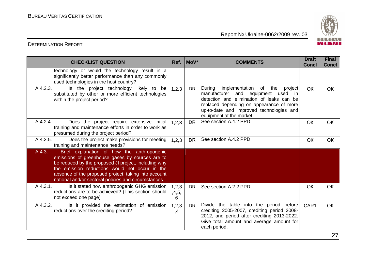

| <b>CHECKLIST QUESTION</b>                                                                                                                                                                                                                                                                                                        | Ref.                | MoV*      | <b>COMMENTS</b>                                                                                                                                                                                                                                                | <b>Draft</b><br><b>Concl</b> | <b>Final</b><br><b>Concl</b> |
|----------------------------------------------------------------------------------------------------------------------------------------------------------------------------------------------------------------------------------------------------------------------------------------------------------------------------------|---------------------|-----------|----------------------------------------------------------------------------------------------------------------------------------------------------------------------------------------------------------------------------------------------------------------|------------------------------|------------------------------|
| technology or would the technology result in a<br>significantly better performance than any commonly<br>used technologies in the host country?                                                                                                                                                                                   |                     |           |                                                                                                                                                                                                                                                                |                              |                              |
| A.4.2.3.<br>Is the project technology likely to be<br>substituted by other or more efficient technologies<br>within the project period?                                                                                                                                                                                          | 1,2,3               | <b>DR</b> | During<br>implementation<br>of<br>the<br>project<br>manufacturer<br>and equipment used<br>-in<br>detection and elimination of leaks can be<br>replaced depending on appearance of more<br>up-to-date and improved technologies and<br>equipment at the market. | <b>OK</b>                    | <b>OK</b>                    |
| A.4.2.4.<br>Does the project require extensive initial<br>training and maintenance efforts in order to work as<br>presumed during the project period?                                                                                                                                                                            | 1,2,3               | <b>DR</b> | See section A.4.2 PPD                                                                                                                                                                                                                                          | OK                           | <b>OK</b>                    |
| A.4.2.5.<br>Does the project make provisions for meeting<br>training and maintenance needs?                                                                                                                                                                                                                                      | 1,2,3               | DR.       | See section A.4.2 PPD                                                                                                                                                                                                                                          | OK                           | <b>OK</b>                    |
| A.4.3.<br>Brief explanation of how the anthropogenic<br>emissions of greenhouse gases by sources are to<br>be reduced by the proposed JI project, including why<br>the emission reductions would not occur in the<br>absence of the proposed project, taking into account<br>national and/or sectoral policies and circumstances |                     |           |                                                                                                                                                                                                                                                                |                              |                              |
| A.4.3.1.<br>Is it stated how anthropogenic GHG emission<br>reductions are to be achieved? (This section should<br>not exceed one page)                                                                                                                                                                                           | 1,2,3<br>,4,5,<br>6 | <b>DR</b> | See section A.2.2 PPD                                                                                                                                                                                                                                          | OK                           | <b>OK</b>                    |
| A.4.3.2.<br>Is it provided the estimation of emission<br>reductions over the crediting period?                                                                                                                                                                                                                                   | 1,2,3<br>,4         | DR.       | Divide the table into the period<br>before<br>crediting 2005-2007, crediting period 2008-<br>2012, and period after crediting 2013-2022.<br>Give total amount and average amount for<br>each period.                                                           | CAR1                         | <b>OK</b>                    |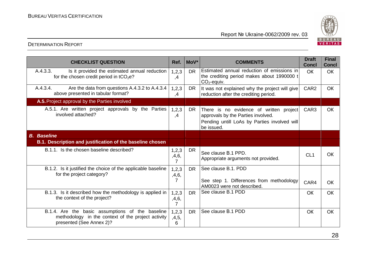

| <b>CHECKLIST QUESTION</b>                                                                                                          | Ref.                | MoV*      | <b>COMMENTS</b>                                                                                                                             | <b>Draft</b><br><b>Concl</b> | <b>Final</b><br><b>Concl</b> |
|------------------------------------------------------------------------------------------------------------------------------------|---------------------|-----------|---------------------------------------------------------------------------------------------------------------------------------------------|------------------------------|------------------------------|
| A.4.3.3.<br>Is it provided the estimated annual reduction<br>for the chosen credit period in $tCO2e$ ?                             | 1,2,3<br>,4         | <b>DR</b> | Estimated annual reduction of emissions in<br>the crediting period makes about 1990000 t<br>$CO2$ -equiv.                                   | <b>OK</b>                    | <b>OK</b>                    |
| A.4.3.4.<br>Are the data from questions A.4.3.2 to A.4.3.4<br>above presented in tabular format?                                   | 1,2,3<br>,4         | <b>DR</b> | It was not explained why the project will give<br>reduction after the crediting period.                                                     | CAR <sub>2</sub>             | <b>OK</b>                    |
| A.5. Project approval by the Parties involved                                                                                      |                     |           |                                                                                                                                             |                              |                              |
| A.5.1. Are written project approvals by the Parties<br>involved attached?                                                          | 1,2,3<br>,4         | <b>DR</b> | There is no evidence of written project<br>approvals by the Parties involved.<br>Pending untill LoAs by Parties involved will<br>be issued. | CAR <sub>3</sub>             | OK                           |
| <b>B.</b> Baseline                                                                                                                 |                     |           |                                                                                                                                             |                              |                              |
| B.1. Description and justification of the baseline chosen                                                                          |                     |           |                                                                                                                                             |                              |                              |
| B.1.1. Is the chosen baseline described?                                                                                           | 1, 2, 3<br>,4,6,    | DR        | See clause B.1 PPD.<br>Appropriate arguments not provided.                                                                                  | CL <sub>1</sub>              | <b>OK</b>                    |
| B.1.2. Is it justified the choice of the applicable baseline<br>for the project category?                                          | 1, 2, 3<br>,4,6,    | <b>DR</b> | See clause B.1, PDD                                                                                                                         |                              |                              |
|                                                                                                                                    | 7                   |           | See step 1. Differences from methodology<br>AM0023 were not described.                                                                      | CAR4                         | <b>OK</b>                    |
| B.1.3. Is it described how the methodology is applied in<br>the context of the project?                                            | 1,2,3<br>,4,6,<br>7 | <b>DR</b> | See clause B.1 PDD                                                                                                                          | OK                           | <b>OK</b>                    |
| B.1.4. Are the basic assumptions of the baseline<br>methodology in the context of the project activity<br>presented (See Annex 2)? | 1,2,3<br>,4,5,<br>6 | <b>DR</b> | See clause B.1 PDD                                                                                                                          | <b>OK</b>                    | OK                           |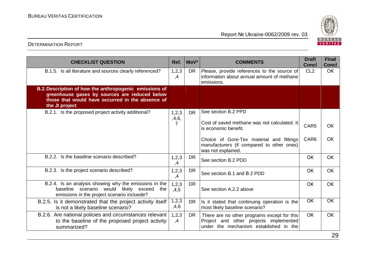

| <b>CHECKLIST QUESTION</b>                                                                                                                                                     | Ref.            | MoV*      | <b>COMMENTS</b>                                                                                                                 | <b>Draft</b><br><b>Concl</b> | <b>Final</b><br><b>Concl</b> |
|-------------------------------------------------------------------------------------------------------------------------------------------------------------------------------|-----------------|-----------|---------------------------------------------------------------------------------------------------------------------------------|------------------------------|------------------------------|
| B.1.5. Is all literature and sources clearly referenced?                                                                                                                      | 1,2,3<br>,4     | <b>DR</b> | Please, provide references to the source of<br>information about annual amount of methane<br>emissions.                         | CL <sub>2</sub>              | <b>OK</b>                    |
| B.2. Description of how the anthropogenic emissions of<br>greenhouse gases by sources are reduced below<br>those that would have occurred in the absence of<br>the JI project |                 |           |                                                                                                                                 |                              |                              |
| B.2.1. Is the proposed project activity additional?                                                                                                                           | 1,2,3           | <b>DR</b> | See section B.2 PPD                                                                                                             |                              |                              |
|                                                                                                                                                                               | ,4,6,<br>7      |           | Cost of saved methane was not calculated. It<br>is economic benefit.                                                            | CAR <sub>5</sub>             | <b>OK</b>                    |
|                                                                                                                                                                               |                 |           | Choice of Gore-Tex material and fittings<br>manufacturers (if compared to other ones)<br>was not explained.                     | CAR <sub>6</sub>             | <b>OK</b>                    |
| B.2.2. Is the baseline scenario described?                                                                                                                                    | 1,2,3<br>,4     | <b>DR</b> | See section B.2 PDD                                                                                                             | OK                           | <b>OK</b>                    |
| B.2.3. Is the project scenario described?                                                                                                                                     | 1,2,3<br>,4     | <b>DR</b> | See section B.1 and B.2 PDD                                                                                                     | <b>OK</b>                    | <b>OK</b>                    |
| B.2.4. Is an analysis showing why the emissions in the<br>baseline scenario would likely exceed<br>the<br>emissions in the project scenario incluede?                         | 1, 2, 3<br>,4,5 | <b>DR</b> | See section A.2.2 above                                                                                                         | <b>OK</b>                    | <b>OK</b>                    |
| B.2.5. Is it demonstrated that the project activity itself<br>is not a likely baseline scenario?                                                                              | 1, 2, 3<br>,4,6 | <b>DR</b> | Is it stated that continuing operation is the<br>most likely baseline scenario?                                                 | <b>OK</b>                    | OK                           |
| B.2.6. Are national policies and circumstances relevant<br>to the baseline of the proposed project activity<br>summarized?                                                    | 1,2,3<br>,4     | <b>DR</b> | There are no other programs except for this<br>Project and other projects implemented<br>under the mechanism established in the | <b>OK</b>                    | <b>OK</b>                    |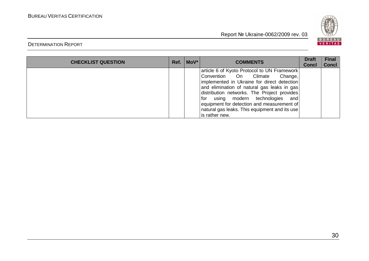

| <b>CHECKLIST QUESTION</b> | $Ref. \n\vert \text{MoV}^* \n\vert$ | <b>COMMENTS</b>                                                                                                                                                                                                                                                                                                                                                                            | <b>Draft</b><br><b>Concl</b> | <b>Final</b><br><b>Concl</b> |
|---------------------------|-------------------------------------|--------------------------------------------------------------------------------------------------------------------------------------------------------------------------------------------------------------------------------------------------------------------------------------------------------------------------------------------------------------------------------------------|------------------------------|------------------------------|
|                           |                                     | article 6 of Kyoto Protocol to UN Framework<br>Convention On Climate<br>Change,<br>implemented in Ukraine for direct detection<br>and elimination of natural gas leaks in gas<br>distribution networks. The Project provides<br>using modern technologies<br>l for<br>and<br>equipment for detection and measurement of<br>natural gas leaks. This equipment and its use<br>is rather new. |                              |                              |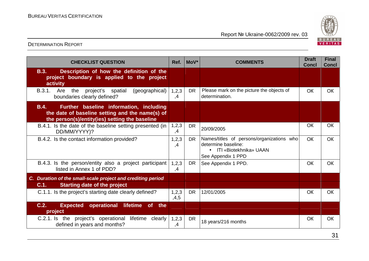

| <b>CHECKLIST QUESTION</b>                                                                                                                            | Ref.          | MoV*      | <b>COMMENTS</b>                                                                                                    | <b>Draft</b><br><b>Concl</b> | <b>Final</b><br><b>Concl</b> |
|------------------------------------------------------------------------------------------------------------------------------------------------------|---------------|-----------|--------------------------------------------------------------------------------------------------------------------|------------------------------|------------------------------|
| <b>B.3.</b><br>Description of how the definition of the<br>project boundary is applied to the project<br>activity                                    |               |           |                                                                                                                    |                              |                              |
| B.3.1.<br>Are<br>the<br>(geographical)<br>project's<br>spatial<br>boundaries clearly defined?                                                        | 1, 2, 3<br>,4 | <b>DR</b> | Please mark on the picture the objects of<br>determination.                                                        | OK                           | <b>OK</b>                    |
| Further baseline information, including<br>B.4.<br>the date of baseline setting and the name(s) of<br>the person(s)/entity(ies) setting the baseline |               |           |                                                                                                                    |                              |                              |
| B.4.1. Is the date of the baseline setting presented (in<br>DD/MM/YYYY)?                                                                             | 1,2,3<br>,4   | <b>DR</b> | 20/09/2005                                                                                                         | OK                           | <b>OK</b>                    |
| B.4.2. Is the contact information provided?                                                                                                          | 1, 2, 3<br>,4 | <b>DR</b> | Names/titles of persons/organizations who<br>determine baseline:<br>• ITI «Biotekhnika» UAAN<br>See Appendix 1 PPD | <b>OK</b>                    | <b>OK</b>                    |
| B.4.3. Is the person/entity also a project participant<br>listed in Annex 1 of PDD?                                                                  | 1,2,3<br>,4   | <b>DR</b> | See Appendix 1 PPD.                                                                                                | OK                           | <b>OK</b>                    |
| C. Duration of the small-scale project and crediting period                                                                                          |               |           |                                                                                                                    |                              |                              |
| <b>Starting date of the project</b><br>C.1.                                                                                                          |               |           |                                                                                                                    |                              |                              |
| C.1.1. Is the project's starting date clearly defined?                                                                                               | 1,2,3<br>,4,5 | <b>DR</b> | 12/01/2005                                                                                                         | OK                           | <b>OK</b>                    |
| C.2.<br>operational<br><b>lifetime</b><br><b>of</b><br><b>Expected</b><br>the<br>project                                                             |               |           |                                                                                                                    |                              |                              |
| C.2.1. Is the project's operational lifetime clearly<br>defined in years and months?                                                                 | 1,2,3<br>,4   | <b>DR</b> | 18 years/216 months                                                                                                | OK                           | OK                           |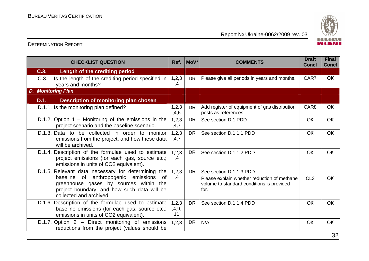

| <b>CHECKLIST QUESTION</b>                                                                                                                                                                                                | Ref.                 | MoV*      | <b>COMMENTS</b>                                                                                                              | <b>Draft</b><br><b>Concl</b> | <b>Final</b><br><b>Concl</b> |
|--------------------------------------------------------------------------------------------------------------------------------------------------------------------------------------------------------------------------|----------------------|-----------|------------------------------------------------------------------------------------------------------------------------------|------------------------------|------------------------------|
| C.3.<br>Length of the crediting period                                                                                                                                                                                   |                      |           |                                                                                                                              |                              |                              |
| C.3.1. Is the length of the crediting period specified in<br>years and months?                                                                                                                                           | 1,2,3<br>,4          | <b>DR</b> | Please give all periods in years and months.                                                                                 | CAR7                         | <b>OK</b>                    |
| <b>D. Monitoring Plan</b>                                                                                                                                                                                                |                      |           |                                                                                                                              |                              |                              |
| D.1.<br>Description of monitoring plan chosen                                                                                                                                                                            |                      |           |                                                                                                                              |                              |                              |
| D.1.1. Is the monitoring plan defined?                                                                                                                                                                                   | 1,2,3<br>,4,6        | <b>DR</b> | Add register of equipment of gas distribution<br>posts as references.                                                        | CAR <sub>8</sub>             | <b>OK</b>                    |
| D.1.2. Option $1$ – Monitoring of the emissions in the<br>project scenario and the baseline scenario.                                                                                                                    | 1,2,3<br>,4,7        | <b>DR</b> | See section D.1 PDD                                                                                                          | <b>OK</b>                    | <b>OK</b>                    |
| D.1.3. Data to be collected in order to monitor<br>emissions from the project, and how these data<br>will be archived.                                                                                                   | 1, 2, 3<br>,4,7      | <b>DR</b> | See section D.1.1.1 PDD                                                                                                      | <b>OK</b>                    | <b>OK</b>                    |
| D.1.4. Description of the formulae used to estimate<br>project emissions (for each gas, source etc.;<br>emissions in units of CO2 equivalent).                                                                           | 1,2,3<br>,4          | DR.       | See section D.1.1.2 PDD                                                                                                      | <b>OK</b>                    | <b>OK</b>                    |
| D.1.5. Relevant data necessary for determining the<br>baseline of anthropogenic emissions<br>- of<br>greenhouse gases by sources within<br>the<br>project boundary, and how such data will be<br>collected and archived. | 1,2,3<br>,4          | DR.       | See section D.1.1.3 PDD.<br>Please explain whether reduction of methane<br>volume to standard conditions is provided<br>for. | CL3                          | <b>OK</b>                    |
| D.1.6. Description of the formulae used to estimate<br>baseline emissions (for each gas, source etc,;<br>emissions in units of CO2 equivalent).                                                                          | 1,2,3<br>,4,9,<br>11 | <b>DR</b> | See section D.1.1.4 PDD                                                                                                      | <b>OK</b>                    | <b>OK</b>                    |
| D.1.7. Option 2 - Direct monitoring of emissions<br>reductions from the project (values should be                                                                                                                        | 1,2,3                | <b>DR</b> | N/A                                                                                                                          | OK                           | <b>OK</b><br>$\sim$          |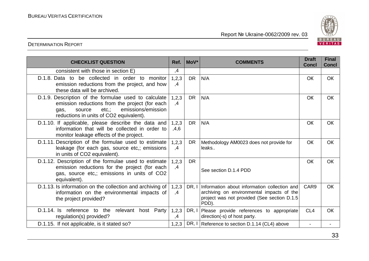

| <b>CHECKLIST QUESTION</b>                                                                                                                                                                             | Ref.          | MoV*      | <b>COMMENTS</b>                                                                                                                                   | <b>Draft</b><br><b>Concl</b> | <b>Final</b><br><b>Concl</b> |
|-------------------------------------------------------------------------------------------------------------------------------------------------------------------------------------------------------|---------------|-----------|---------------------------------------------------------------------------------------------------------------------------------------------------|------------------------------|------------------------------|
| consistent with those in section E)                                                                                                                                                                   | ,4            |           |                                                                                                                                                   |                              |                              |
| D.1.8. Data to be collected in order to monitor<br>emission reductions from the project, and how<br>these data will be archived.                                                                      | 1,2,3<br>,4   | <b>DR</b> | N/A                                                                                                                                               | OK                           | <b>OK</b>                    |
| D.1.9. Description of the formulae used to calculate<br>emission reductions from the project (for each<br>emissions/emission<br>$etc.$ ;<br>source<br>gas,<br>reductions in units of CO2 equivalent). | 1,2,3<br>,4   | <b>DR</b> | N/A                                                                                                                                               | <b>OK</b>                    | <b>OK</b>                    |
| D.1.10. If applicable, please describe the data and<br>information that will be collected in order to<br>monitor leakage effects of the project.                                                      | 1,2,3<br>,4,6 | <b>DR</b> | N/A                                                                                                                                               | OK                           | <b>OK</b>                    |
| D.1.11. Description of the formulae used to estimate<br>leakage (for each gas, source etc,; emissions<br>in units of CO2 equivalent).                                                                 | 1,2,3<br>,4   | <b>DR</b> | Methodology AM0023 does not provide for<br>leaks                                                                                                  | <b>OK</b>                    | <b>OK</b>                    |
| D.1.12. Description of the formulae used to estimate<br>emission reductions for the project (for each<br>gas, source etc,; emissions in units of CO2<br>equivalent).                                  | 1,2,3<br>,4   | <b>DR</b> | See section D.1.4 PDD                                                                                                                             | <b>OK</b>                    | <b>OK</b>                    |
| D.1.13. Is information on the collection and archiving of<br>information on the environmental impacts of<br>the project provided?                                                                     | 1, 2, 3<br>,4 | DR, I     | Information about information collection and<br>archiving on environmental impacts of the<br>project was not provided (See section D.1.5<br>PDD). | CAR <sub>9</sub>             | <b>OK</b>                    |
| D.1.14. Is reference to the relevant host Party<br>regulation(s) provided?                                                                                                                            | 1,2,3<br>,4   | DR, I     | Please provide references to appropriate<br>direction(-s) of host party.                                                                          | CL <sub>4</sub>              | OK                           |
| D.1.15. If not applicable, is it stated so?                                                                                                                                                           | 1,2,3         |           | DR, I Reference to section D.1.14 (CL4) above                                                                                                     |                              |                              |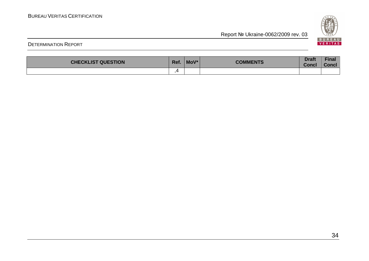

| <b>CHECKLIST QUESTION</b> | Ref. | MoV* | <b>COMMENTS</b> | <b>Draft</b><br><b>Conc.</b> | <b>Fina.</b><br>Concl |
|---------------------------|------|------|-----------------|------------------------------|-----------------------|
|                           |      |      |                 |                              |                       |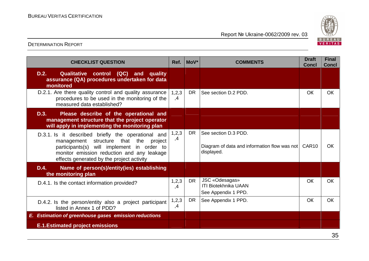

| <b>CHECKLIST QUESTION</b>                                                                                                                                                                                                               | Ref.        | $ $ MoV $*$ | <b>COMMENTS</b>                                                                    | <b>Draft</b><br><b>Concl</b> | <b>Final</b><br><b>Concl</b> |
|-----------------------------------------------------------------------------------------------------------------------------------------------------------------------------------------------------------------------------------------|-------------|-------------|------------------------------------------------------------------------------------|------------------------------|------------------------------|
| D.2.<br>Qualitative control (QC) and quality<br>assurance (QA) procedures undertaken for data<br>monitored                                                                                                                              |             |             |                                                                                    |                              |                              |
| D.2.1. Are there quality control and quality assurance<br>procedures to be used in the monitoring of the<br>measured data established?                                                                                                  | 1,2,3<br>,4 | <b>DR</b>   | See section D.2 PDD.                                                               | OK                           | <b>OK</b>                    |
| D.3.<br>Please describe of the operational and<br>management structure that the project operator<br>will apply in implementing the monitoring plan                                                                                      |             |             |                                                                                    |                              |                              |
| D.3.1. Is it described briefly the operational and<br>management structure that the<br>project<br>participants(s) will implement in order to<br>monitor emission reduction and any leakage<br>effects generated by the project activity | 1,2,3<br>,4 | <b>DR</b>   | See section D.3 PDD.<br>Diagram of data and information flow was not<br>displayed. | CAR <sub>10</sub>            | <b>OK</b>                    |
| D.4.<br>Name of person(s)/entity(ies) establishing<br>the monitoring plan                                                                                                                                                               |             |             |                                                                                    |                              |                              |
| D.4.1. Is the contact information provided?                                                                                                                                                                                             | 1,2,3<br>,4 | <b>DR</b>   | JSC «Odesagas»<br><b>ITI Biotekhnika UAAN</b><br>See Appendix 1 PPD.               | OK                           | <b>OK</b>                    |
| D.4.2. Is the person/entity also a project participant<br>listed in Annex 1 of PDD?                                                                                                                                                     | 1,2,3<br>,4 | <b>DR</b>   | See Appendix 1 PPD.                                                                | OK                           | <b>OK</b>                    |
| E. Estimation of greenhouse gases emission reductions                                                                                                                                                                                   |             |             |                                                                                    |                              |                              |
| <b>E.1. Estimated project emissions</b>                                                                                                                                                                                                 |             |             |                                                                                    |                              |                              |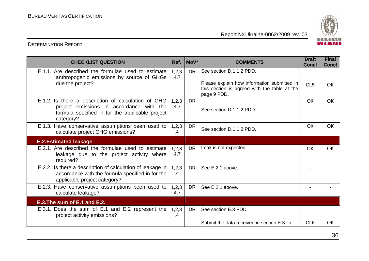

| <b>CHECKLIST QUESTION</b>                                                                                                                                       | Ref.            | MoV*      | <b>COMMENTS</b>                                                                                            | <b>Draft</b><br><b>Concl</b> | <b>Final</b><br><b>Concl</b> |
|-----------------------------------------------------------------------------------------------------------------------------------------------------------------|-----------------|-----------|------------------------------------------------------------------------------------------------------------|------------------------------|------------------------------|
| E.1.1. Are described the formulae used to estimate<br>anthropogenic emissions by source of GHGs                                                                 | 1,2,3<br>,4,7   | <b>DR</b> | See section D.1.1.2 PDD.                                                                                   |                              |                              |
| due the project?                                                                                                                                                |                 |           | Please explain how information submitted in<br>this section is agreed with the table at the<br>page 9 PDD. | CL <sub>5</sub>              | <b>OK</b>                    |
| E.1.2. Is there a description of calculation of GHG<br>project emissions in accordance with the<br>formula specified in for the applicable project<br>category? | 1, 2, 3<br>,4,7 | <b>DR</b> | See section D.1.1.2 PDD.                                                                                   | <b>OK</b>                    | <b>OK</b>                    |
| E.1.3. Have conservative assumptions been used to<br>calculate project GHG emissions?                                                                           | 1,2,3<br>,4     | <b>DR</b> | See section D.1.1.2 PDD.                                                                                   | <b>OK</b>                    | <b>OK</b>                    |
| <b>E.2. Estimated leakage</b>                                                                                                                                   |                 |           |                                                                                                            |                              |                              |
| E.2.1. Are described the formulae used to estimate<br>leakage due to the project activity where<br>required?                                                    | 1,2,3<br>,4,7   | <b>DR</b> | Leak is not expected.                                                                                      | <b>OK</b>                    | <b>OK</b>                    |
| E.2.2. Is there a description of calculation of leakage in<br>accordance with the formula specified in for the<br>applicable project category?                  | 1,2,3<br>,4     | <b>DR</b> | See E.2.1 above.                                                                                           |                              |                              |
| E.2.3. Have conservative assumptions been used to<br>calculate leakage?                                                                                         | 1,2,3<br>, 4, 7 | <b>DR</b> | See E.2.1 above.                                                                                           |                              |                              |
| E.3. The sum of E.1 and E.2.                                                                                                                                    |                 |           |                                                                                                            |                              |                              |
| E.3.1. Does the sum of E.1 and E.2 represent the<br>project activity emissions?                                                                                 | 1, 2, 3<br>,4   | <b>DR</b> | See section E.3 PDD.                                                                                       |                              |                              |
|                                                                                                                                                                 |                 |           | Submit the data received in section E.3. in                                                                | CL <sub>6</sub>              | OК                           |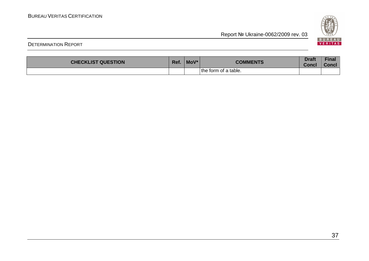

| <b>CHECKLIST QUESTION</b> | Ref. | MoV* | <b>COMMENTS</b>      | <b>Draft</b><br>Concl | <b>Final</b><br><b>Concl</b> |
|---------------------------|------|------|----------------------|-----------------------|------------------------------|
|                           |      |      | the form of a table. |                       |                              |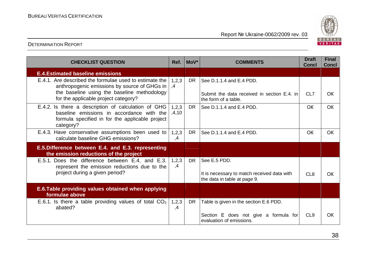

| <b>CHECKLIST QUESTION</b>                                                                                                                                        | Ref.                  | MoV* | <b>COMMENTS</b>                                                                             | <b>Draft</b><br><b>Concl</b> | <b>Final</b><br><b>Concl</b> |
|------------------------------------------------------------------------------------------------------------------------------------------------------------------|-----------------------|------|---------------------------------------------------------------------------------------------|------------------------------|------------------------------|
| <b>E.4. Estimated baseline emissions</b>                                                                                                                         |                       |      |                                                                                             |                              |                              |
| E.4.1. Are described the formulae used to estimate the<br>anthropogenic emissions by source of GHGs in<br>the baseline using the baseline methodology            | 1,2,3<br>$\mathbf{A}$ | DR.  | See D.1.1.4 and E.4 PDD.<br>Submit the data received in section E.4. in                     | CL7                          | <b>OK</b>                    |
| for the applicable project category?                                                                                                                             |                       |      | the form of a table.                                                                        |                              |                              |
| E.4.2. Is there a description of calculation of GHG<br>baseline emissions in accordance with the<br>formula specified in for the applicable project<br>category? | 1,2,3<br>.4.10        | DR.  | See D.1.1.4 and E.4 PDD.                                                                    | <b>OK</b>                    | <b>OK</b>                    |
| E.4.3. Have conservative assumptions been used to<br>calculate baseline GHG emissions?                                                                           | 1,2,3<br>,4           | DR.  | See D.1.1.4 and E.4 PDD.                                                                    | <b>OK</b>                    | <b>OK</b>                    |
| E.5. Difference between E.4. and E.3. representing<br>the emission reductions of the project                                                                     |                       |      |                                                                                             |                              |                              |
| E.5.1. Does the difference between E.4. and E.3.<br>represent the emission reductions due to the<br>project during a given period?                               | 1,2,3<br>,4           | DR.  | See E.5 PDD.<br>It is necessary to match received data with<br>the data in table at page 9. | CL <sub>8</sub>              | <b>OK</b>                    |
| E.6. Table providing values obtained when applying<br>formulae above                                                                                             |                       |      |                                                                                             |                              |                              |
| E.6.1. Is there a table providing values of total $CO2$<br>abated?                                                                                               | 1,2,3<br>,4           | DR   | Table is given in the section E.6 PDD.                                                      |                              |                              |
|                                                                                                                                                                  |                       |      | Section E does not give a formula for<br>evaluation of emissions.                           | CL <sub>9</sub>              | OK                           |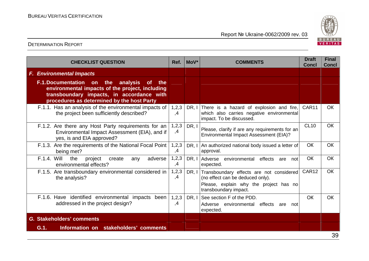

| <b>CHECKLIST QUESTION</b>                                                                                                                                                                                        | Ref.                   | MoV*  | <b>COMMENTS</b>                                                                                                                                 | <b>Draft</b><br><b>Concl</b> | <b>Final</b><br><b>Concl</b> |
|------------------------------------------------------------------------------------------------------------------------------------------------------------------------------------------------------------------|------------------------|-------|-------------------------------------------------------------------------------------------------------------------------------------------------|------------------------------|------------------------------|
| <b>F. Environmental Impacts</b>                                                                                                                                                                                  |                        |       |                                                                                                                                                 |                              |                              |
| <b>F.1.Documentation on</b><br>the<br>analysis<br><b>of</b><br>the<br>environmental impacts of the project, including<br>transboundary impacts, in accordance with<br>procedures as determined by the host Party |                        |       |                                                                                                                                                 |                              |                              |
| F.1.1. Has an analysis of the environmental impacts of<br>the project been sufficiently described?                                                                                                               | 1,2,3<br>$\mathcal{A}$ |       | DR, I There is a hazard of explosion and fire,<br>which also carries negative environmental<br>impact. To be discussed.                         | CAR11                        | <b>OK</b>                    |
| F.1.2. Are there any Host Party requirements for an<br>Environmental Impact Assessment (EIA), and if<br>yes, is and EIA approved?                                                                                | 1,2,3<br>,4            | DR, I | Please, clarify if are any requirements for an<br>Environmental Impact Assessment (EIA)?                                                        | <b>CL10</b>                  | OK                           |
| F.1.3. Are the requirements of the National Focal Point<br>being met?                                                                                                                                            | 1, 2, 3<br>,4          | DR.I  | An authorized national body issued a letter of<br>approval.                                                                                     | OK                           | OK                           |
| <b>F.1.4. Will</b><br>the<br>project<br>adverse<br>create<br>any<br>environmental effects?                                                                                                                       | 1, 2, 3<br>,4          | DR, I | Adverse environmental<br>effects<br>not<br>are<br>expected.                                                                                     | OK                           | <b>OK</b>                    |
| F.1.5. Are transboundary environmental considered in<br>the analysis?                                                                                                                                            | 1,2,3<br>,4            | DR, I | Transboundary effects are not considered<br>(no effect can be deduced only).<br>Please, explain why the project has no<br>transboundary impact. | CAR12                        | OK                           |
| F.1.6. Have identified environmental impacts<br>been<br>addressed in the project design?                                                                                                                         | 1,2,3<br>,4            | DR, I | See section F of the PDD.<br>Adverse environmental effects<br>are<br>not<br>expected.                                                           | OK                           | <b>OK</b>                    |
| G. Stakeholders' comments                                                                                                                                                                                        |                        |       |                                                                                                                                                 |                              |                              |
| Information on stakeholders' comments<br>G.1.                                                                                                                                                                    |                        |       |                                                                                                                                                 |                              |                              |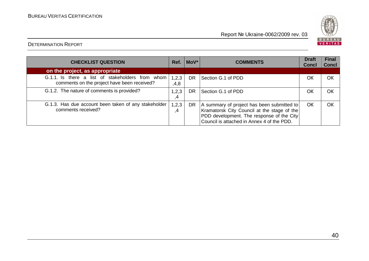

| <b>CHECKLIST QUESTION</b>                                                                       | Ref.          | $ $ MoV $*$ | <b>COMMENTS</b>                                                                                                                                                                      | <b>Draft</b><br><b>Concl</b> | <b>Final</b><br><b>Concl</b> |
|-------------------------------------------------------------------------------------------------|---------------|-------------|--------------------------------------------------------------------------------------------------------------------------------------------------------------------------------------|------------------------------|------------------------------|
| on the project, as appropriate                                                                  |               |             |                                                                                                                                                                                      |                              |                              |
| G.1.1. Is there a list of stakeholders from whom<br>comments on the project have been received? | 1,2,3<br>,4,8 | <b>DR</b>   | Section G.1 of PDD                                                                                                                                                                   | OK                           | OК                           |
| G.1.2. The nature of comments is provided?                                                      | 1,2,3<br>.4   | DR.         | Section G.1 of PDD                                                                                                                                                                   | OK                           | OK                           |
| G.1.3. Has due account been taken of any stakeholder<br>comments received?                      | 1, 2, 3<br>4  | DR          | A summary of project has been submitted to<br>Kramatorsk City Council at the stage of the<br>PDD development. The response of the City<br>Council is attached in Annex 4 of the PDD. | OK                           | OK                           |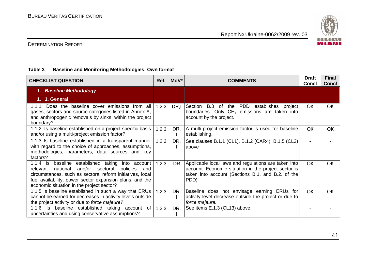

#### DETERMINATION REPORT

#### **Table 3 Baseline and Monitoring Methodologies: Own format**

| <b>CHECKLIST QUESTION</b>                                                                                                                                                                                                                                                                        | Ref.    | MoV*      | <b>COMMENTS</b>                                                                                                                                                           | <b>Draft</b><br><b>Concl</b> | <b>Final</b><br><b>Concl</b> |
|--------------------------------------------------------------------------------------------------------------------------------------------------------------------------------------------------------------------------------------------------------------------------------------------------|---------|-----------|---------------------------------------------------------------------------------------------------------------------------------------------------------------------------|------------------------------|------------------------------|
| 1. Baseline Methodology                                                                                                                                                                                                                                                                          |         |           |                                                                                                                                                                           |                              |                              |
| 1. 1. General                                                                                                                                                                                                                                                                                    |         |           |                                                                                                                                                                           |                              |                              |
| 1.1.1. Does the baseline cover emissions from all<br>gases, sectors and source categories listed in Annex A,<br>and anthropogenic removals by sinks, within the project<br>boundary?                                                                                                             | 1,2,3   | DR,I      | Section B.3 of the PDD establishes project<br>boundaries. Only $CH_4$ emissions are taken into<br>account by the project.                                                 | <b>OK</b>                    | OK                           |
| 1.1.2. Is baseline established on a project-specific basis<br>and/or using a multi-project emission factor?                                                                                                                                                                                      | 1,2,3   | DR,       | A multi-project emission factor is used for baseline<br>establishing.                                                                                                     | <b>OK</b>                    | <b>OK</b>                    |
| 1.1.3 Is baseline established in a transparent manner<br>with regard to the choice of approaches, assumptions,<br>methodologies, parameters, data sources and key<br>factors?                                                                                                                    | 1,2,3   | DR,       | See clauses B.1.1 (CL1), B.1.2 (CAR4), B.1.5 (CL2)<br>above                                                                                                               |                              |                              |
| $1.1.4$ Is<br>baseline<br>established taking<br>into account<br>and/or sectoral<br>national<br>policies<br>relevant<br>and<br>circumstances, such as sectoral reform initiatives, local<br>fuel availability, power sector expansion plans, and the<br>economic situation in the project sector? | 1, 2, 3 | <b>DR</b> | Applicable local laws and regulations are taken into<br>account. Economic situation in the project sector is<br>taken into account (Sections B.1. and B.2. of the<br>PDD) | <b>OK</b>                    | OK                           |
| 1.1.5 Is baseline established in such a way that ERUs<br>cannot be earned for decreases in activity levels outside<br>the project activity or due to force majeure?                                                                                                                              | 1,2,3   | DR,       | Baseline does not envisage earning ERUs for<br>activity level decrease outside the project or due to<br>force majeure.                                                    | <b>OK</b>                    | <b>OK</b>                    |
| 1.1.6 Is baseline established taking account of<br>uncertainties and using conservative assumptions?                                                                                                                                                                                             | 1,2,3   | DR,       | See items E.1.3 (CL13) above                                                                                                                                              |                              |                              |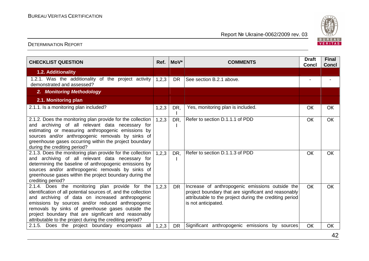

| <b>CHECKLIST QUESTION</b>                                                                                                                                                                                                                                                                                                                                                                           | Ref.  | MoV*      | <b>COMMENTS</b>                                                                                                                                                                           | <b>Draft</b><br><b>Concl</b> | <b>Final</b><br><b>Concl</b> |
|-----------------------------------------------------------------------------------------------------------------------------------------------------------------------------------------------------------------------------------------------------------------------------------------------------------------------------------------------------------------------------------------------------|-------|-----------|-------------------------------------------------------------------------------------------------------------------------------------------------------------------------------------------|------------------------------|------------------------------|
| <b>1.2. Additionality</b>                                                                                                                                                                                                                                                                                                                                                                           |       |           |                                                                                                                                                                                           |                              |                              |
| 1.2.1. Was the additionality of the project activity<br>demonstrated and assessed?                                                                                                                                                                                                                                                                                                                  | 1,2,3 | <b>DR</b> | See section B.2.1 above.                                                                                                                                                                  |                              |                              |
| 2. Monitoring Methodology                                                                                                                                                                                                                                                                                                                                                                           |       |           |                                                                                                                                                                                           |                              |                              |
| 2.1. Monitoring plan                                                                                                                                                                                                                                                                                                                                                                                |       |           |                                                                                                                                                                                           |                              |                              |
| 2.1.1. Is a monitoring plan included?                                                                                                                                                                                                                                                                                                                                                               | 1,2,3 | DR,       | Yes, monitoring plan is included.                                                                                                                                                         | OK                           | <b>OK</b>                    |
| 2.1.2. Does the monitoring plan provide for the collection<br>and archiving of all relevant data necessary for<br>estimating or measuring anthropogenic emissions by<br>sources and/or anthropogenic removals by sinks of<br>greenhouse gases occurring within the project boundary<br>during the crediting period?                                                                                 | 1,2,3 | DR,       | Refer to section D.1.1.1 of PDD                                                                                                                                                           | OK                           | <b>OK</b>                    |
| 2.1.3. Does the monitoring plan provide for the collection<br>and archiving of all relevant data necessary for<br>determining the baseline of anthropogenic emissions by<br>sources and/or anthropogenic removals by sinks of<br>greenhouse gases within the project boundary during the<br>crediting period?                                                                                       | 1,2,3 | DR.       | Refer to section D.1.1.3 of PDD                                                                                                                                                           | OK                           | <b>OK</b>                    |
| 2.1.4. Does the monitoring plan provide for the<br>identification of all potential sources of, and the collection<br>and archiving of data on increased anthropogenic<br>emissions by sources and/or reduced anthropogenic<br>removals by sinks of greenhouse gases outside the<br>project boundary that are significant and reasonably<br>attributable to the project during the crediting period? | 1,2,3 | DR.       | Increase of anthropogenic emissions outside the<br>project boundary that are significant and reasonably<br>attributable to the project during the crediting period<br>is not anticipated. | <b>OK</b>                    | <b>OK</b>                    |
| 2.1.5. Does the project boundary encompass all                                                                                                                                                                                                                                                                                                                                                      | 1,2,3 | <b>DR</b> | Significant anthropogenic emissions by sources                                                                                                                                            | OK                           | OK                           |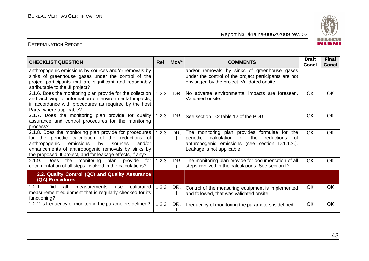

| <b>CHECKLIST QUESTION</b>                                                                                                                                                                                                                                                               | Ref.    | $ $ MoV $*$ | <b>COMMENTS</b>                                                                                                                                                                            | <b>Draft</b><br>Concl | <b>Final</b><br><b>Concl</b> |
|-----------------------------------------------------------------------------------------------------------------------------------------------------------------------------------------------------------------------------------------------------------------------------------------|---------|-------------|--------------------------------------------------------------------------------------------------------------------------------------------------------------------------------------------|-----------------------|------------------------------|
| anthropogenic emissions by sources and/or removals by<br>sinks of greenhouse gases under the control of the<br>project participants that are significant and reasonably<br>attributable to the JI project?                                                                              |         |             | and/or removals by sinks of greenhouse gases<br>under the control of the project participants are not<br>envisaged by the project. Validated onsite.                                       |                       |                              |
| 2.1.6. Does the monitoring plan provide for the collection<br>and archiving of information on environmental impacts,<br>in accordance with procedures as required by the host<br>Party, where applicable?                                                                               | 1, 2, 3 | DR.         | No adverse environmental impacts are foreseen.<br>Validated onsite.                                                                                                                        | <b>OK</b>             | OK                           |
| $2.1.7.$ Does the monitoring plan provide for quality<br>assurance and control procedures for the monitoring<br>process?                                                                                                                                                                | 1, 2, 3 | <b>DR</b>   | See section D.2 table 12 of the PDD                                                                                                                                                        | OK                    | OK                           |
| 2.1.8. Does the monitoring plan provide for procedures<br>for the periodic calculation of the reductions of<br>anthropogenic<br>emissions<br>by<br>sources<br>and/or<br>enhancements of anthropogenic removals by sinks by<br>the proposed JI project, and for leakage effects, if any? | 1,2,3   | DR,         | The monitoring plan provides formulae for the<br>calculation<br>of<br>the<br>reductions<br>periodic<br>of<br>anthropogenic emissions (see section D.1.1.2.).<br>Leakage is not applicable. | <b>OK</b>             | <b>OK</b>                    |
| 2.1.9.<br>the<br>monitoring plan provide<br>Does<br>for<br>documentation of all steps involved in the calculations?                                                                                                                                                                     | 1,2,3   | <b>DR</b>   | The monitoring plan provide for documentation of all<br>steps involved in the calculations. See section D.                                                                                 | <b>OK</b>             | <b>OK</b>                    |
| 2.2. Quality Control (QC) and Quality Assurance<br>(QA) Procedures                                                                                                                                                                                                                      |         |             |                                                                                                                                                                                            |                       |                              |
| <b>Did</b><br>all<br>calibrated<br>2.2.1.<br>measurements<br>use<br>measurement equipment that is regularly checked for its<br>functioning?                                                                                                                                             | 1,2,3   | DR,         | Control of the measuring equipment is implemented<br>and followed, that was validated onsite.                                                                                              | ОК                    | <b>OK</b>                    |
| 2.2.2 Is frequency of monitoring the parameters defined?                                                                                                                                                                                                                                | 1,2,3   | DR,         | Frequency of monitoring the parameters is defined.                                                                                                                                         | OK                    | <b>OK</b>                    |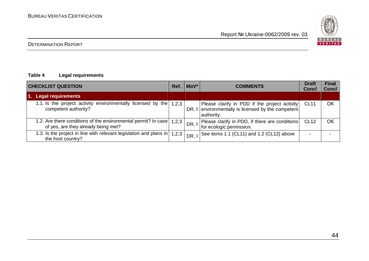

#### DETERMINATION REPORT

#### **Table 4 Legal requirements**

| <b>CHECKLIST QUESTION</b>                                                                             | Ref.  | $ $ MoV $*$ | <b>COMMENTS</b>                                                                                             | <b>Draft</b><br><b>Concl</b> | <b>Final</b><br><b>Concl</b> |
|-------------------------------------------------------------------------------------------------------|-------|-------------|-------------------------------------------------------------------------------------------------------------|------------------------------|------------------------------|
| 1. Legal requirements                                                                                 |       |             |                                                                                                             |                              |                              |
| 1.1. Is the project activity environmentally licensed by the<br>competent authority?                  | 1,2,3 | DR.I        | Please clarify in PDD if the project activity<br>environmentally is licensed by the competent<br>authority. | <b>CL11</b>                  | OК                           |
| 1.2. Are there conditions of the environmental permit? In case<br>of yes, are they already being met? | 1,2,3 | DR, I       | Please clarify in PDD, if there are conditions<br>for ecologic permission.                                  | <b>CL12</b>                  | OK                           |
| 1.3. Is the project in line with relevant legislation and plans in<br>the host country?               | 1,2,3 | DR,         | See items 1.1 (CL11) and 1.2 (CL12) above                                                                   |                              |                              |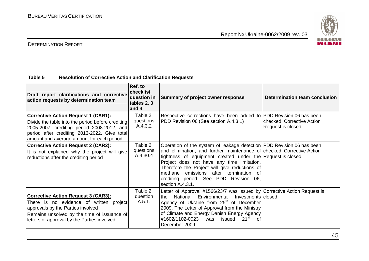

#### DETERMINATION REPORT

#### **Table 5 Resolution of Corrective Action and Clarification Requests**

| Draft report clarifications and corrective<br>action requests by determination team                                                                                                                                                         | Ref. to<br>checklist<br>question in<br>tables 2, 3<br>and 4 | Summary of project owner response                                                                                                                                                                                                                                                                                                                                                                                             | Determination team conclusion                    |
|---------------------------------------------------------------------------------------------------------------------------------------------------------------------------------------------------------------------------------------------|-------------------------------------------------------------|-------------------------------------------------------------------------------------------------------------------------------------------------------------------------------------------------------------------------------------------------------------------------------------------------------------------------------------------------------------------------------------------------------------------------------|--------------------------------------------------|
| <b>Corrective Action Request 1 (CAR1):</b><br>Divide the table into the period before crediting<br>2005-2007, crediting period 2008-2012, and<br>period after crediting 2013-2022. Give total<br>amount and average amount for each period. | Table 2,<br>questions<br>A.4.3.2                            | Respective corrections have been added to PDD Revision 06 has been<br>PDD Revision 06 (See section A.4.3.1)                                                                                                                                                                                                                                                                                                                   | checked. Corrective Action<br>Request is closed. |
| <b>Corrective Action Request 2 (CAR2):</b><br>It is not explained why the project will give<br>reductions after the crediting period                                                                                                        | Table 2,<br>questions<br>A.4.30.4                           | Operation of the system of leakage detection PDD Revision 06 has been<br>and elimination, and further maintenance of checked. Corrective Action<br>tightness of equipment created under the Request is closed.<br>Project does not have any time limitation.<br>Therefore the Project will give reductions of<br>emissions after termination<br>methane<br>. റ†<br>crediting period. See PDD Revision 06,<br>section A.4.3.1. |                                                  |
| <b>Corrective Action Request 3 (CAR3):</b><br>There is no evidence of written project<br>approvals by the Parties involved<br>Remains unsolved by the time of issuance of<br>letters of approval by the Parties involved                    | Table 2,<br>question<br>A.5.1.                              | Letter of Approval #1566/23/7 was issued by Corrective Action Request is<br>National Environmental<br>Investments   closed.<br>the<br>Agency of Ukraine from 25 <sup>th</sup> of December<br>2009. The Letter of Approval from the Ministry<br>of Climate and Energy Danish Energy Agency<br>#1602/1102-0023<br>was issued<br>21 <sup>st</sup><br>of<br>December 2009                                                         |                                                  |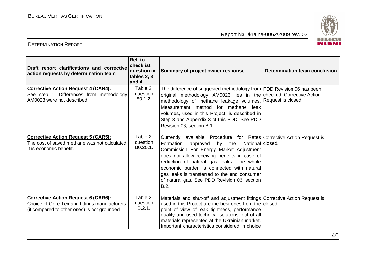

| Draft report clarifications and corrective<br>action requests by determination team                                                        | Ref. to<br>checklist<br>question in<br>tables 2, 3<br>and 4 | Summary of project owner response                                                                                                                                                                                                                                                                                                                                                                                          | <b>Determination team conclusion</b> |
|--------------------------------------------------------------------------------------------------------------------------------------------|-------------------------------------------------------------|----------------------------------------------------------------------------------------------------------------------------------------------------------------------------------------------------------------------------------------------------------------------------------------------------------------------------------------------------------------------------------------------------------------------------|--------------------------------------|
| <b>Corrective Action Request 4 (CAR4):</b><br>See step 1. Differences from methodology<br>AM0023 were not described                        | Table 2,<br>question<br>B0.1.2.                             | The difference of suggested methodology from PDD Revision 06 has been<br>original methodology AM0023 lies in the checked. Corrective Action<br>methodology of methane leakage volumes. Request is closed.<br>Measurement method for methane leak<br>volumes, used in this Project, is described in<br>Step 3 and Appendix 3 of this PDD. See PDD<br>Revision 06, section B.1.                                              |                                      |
| <b>Corrective Action Request 5 (CAR5):</b><br>The cost of saved methane was not calculated<br>It is economic benefit.                      | Table 2,<br>question<br>B0.20.1.                            | Currently available Procedure for Rates   Corrective Action Request is<br>Formation<br>approved<br>by the<br>National closed.<br>Commission For Energy Market Adjustment<br>does not allow receiving benefits in case of<br>reduction of natural gas leaks. The whole<br>economic burden is connected with natural<br>gas leaks is transferred to the end consumer<br>of natural gas. See PDD Revision 06, section<br>B.2. |                                      |
| <b>Corrective Action Request 6 (CAR6):</b><br>Choice of Gore-Tex and fittings manufacturers<br>(if compared to other ones) is not grounded | Table 2,<br>question<br>B.2.1.                              | Materials and shut-off and adjustment fittings Corrective Action Request is<br>used in this Project are the best ones from the closed.<br>point of view of leak tightness, performance<br>quality and used technical solutions, out of all<br>materials represented at the Ukrainian market.<br>Important characteristics considered in choice                                                                             |                                      |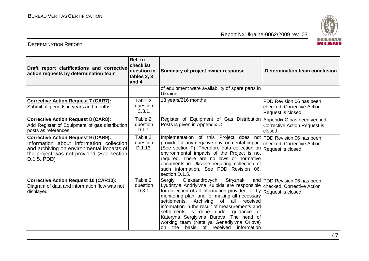



| Draft report clarifications and corrective<br>action requests by determination team                                                                                                              | Ref. to<br>checklist<br><b>question</b> in<br>tables 2, 3<br>and 4 | Summary of project owner response                                                                                                                                                                                                                                                                                                                                                                                                                                                                       | Determination team conclusion                                                   |
|--------------------------------------------------------------------------------------------------------------------------------------------------------------------------------------------------|--------------------------------------------------------------------|---------------------------------------------------------------------------------------------------------------------------------------------------------------------------------------------------------------------------------------------------------------------------------------------------------------------------------------------------------------------------------------------------------------------------------------------------------------------------------------------------------|---------------------------------------------------------------------------------|
|                                                                                                                                                                                                  |                                                                    | of equipment were availability of spare parts in<br>Ukraine.                                                                                                                                                                                                                                                                                                                                                                                                                                            |                                                                                 |
| <b>Corrective Action Request 7 (CAR7):</b><br>Submit all periods in years and months                                                                                                             | Table 2,<br>question<br>C.3.1.                                     | 18 years/216 months                                                                                                                                                                                                                                                                                                                                                                                                                                                                                     | PDD Revision 06 has been<br>checked. Corrective Action<br>Request is closed.    |
| <b>Corrective Action Request 8 (CAR8):</b><br>Add Register of Equipment of gas distribution<br>posts as references                                                                               | Table 2,<br>question<br>D.1.1.                                     | Register of Equipment of Gas Distribution<br>Posts is given in Appendix C                                                                                                                                                                                                                                                                                                                                                                                                                               | Appendix C has been verified.<br><b>Corrective Action Request is</b><br>closed. |
| <b>Corrective Action Request 9 (CAR9):</b><br>Information about information collection<br>and archiving on environmental impacts of<br>the project was not provided (See section)<br>D.1.5. PDD) | Table 2,<br>question<br>D.1.13.                                    | Implementation of this Project does not   PDD Revision 06 has been<br>provide for any negative environmental impact<br>(See section F). Therefore data collection on<br>environmental impacts of the Project is not<br>required. There are no laws or normative<br>documents in Ukraine requiring collection of<br>such information. See PDD Revision 06.<br>section D.1.5.                                                                                                                             | checked. Corrective Action<br>Request is closed.                                |
| <b>Corrective Action Request 10 (CAR10):</b><br>Diagram of data and information flow was not<br>displayed                                                                                        | Table 2,<br>question<br>D.3.1.                                     | Stryzhak<br>Oleksandrovych<br>Sergiy<br>Lyudmyla Andriyivna Kulbida are responsible   checked. Corrective Action<br>for collection of all information provided for by<br>monitoring plan, and for making all necessary<br>settlements.<br>Archiving<br>of<br>all<br>received<br>information in the result of measurements and<br>settlements is done under guidance of<br>Kateryna Sergiyivna Burova. The head of<br>working team (Nataliya Genadiyivna Orlova)<br>on the basis of received information | and PDD Revision 06 has been<br>Request is closed.                              |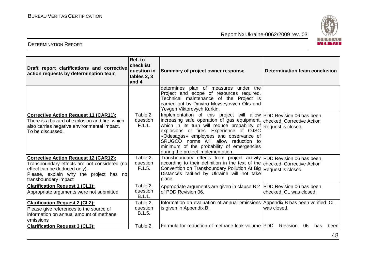

| Draft report clarifications and corrective<br>action requests by determination team                                                                                                            | Ref. to<br>checklist<br>question in<br>tables 2, 3<br>and 4 | Summary of project owner response                                                                                                                                                                                                                                                                                                                                                 | Determination team conclusion                       |
|------------------------------------------------------------------------------------------------------------------------------------------------------------------------------------------------|-------------------------------------------------------------|-----------------------------------------------------------------------------------------------------------------------------------------------------------------------------------------------------------------------------------------------------------------------------------------------------------------------------------------------------------------------------------|-----------------------------------------------------|
|                                                                                                                                                                                                |                                                             | determines plan of measures under the<br>Project and scope of resources required.<br>Technical maintenance of the Project is<br>carried out by Dmytro Moyseyovych Oks and<br>Yevgen Viktorovych Kurkin.                                                                                                                                                                           |                                                     |
| <b>Corrective Action Request 11 (CAR11):</b><br>There is a hazard of explosion and fire, which<br>also carries negative environmental impact.<br>To be discussed.                              | Table 2.<br>question<br>F.1.1.                              | Implementation of this project will allow PDD Revision 06 has been<br>increasing safe operation of gas equipment,<br>which in its turn will reduce probability of<br>explosions or fires. Experience of OJSC<br>«Odesagas» employees and observance of<br>SRUGCO norms will allow reduction to<br>minimum of the probability of emergencies<br>during the project implementation. | checked. Corrective Action<br>Request is closed.    |
| <b>Corrective Action Request 12 (CAR12):</b><br>Transboundary effects are not considered (no<br>effect can be deduced only).<br>Please, explain why the project has no<br>transboundary impact | Table 2,<br>question<br>F.1.5.                              | Transboundary effects from project activity   PDD Revision 06 has been<br>according to their definition in the text of the checked. Corrective Action<br>Convention on Transboundary Pollution At Big Request is closed.<br>Distances ratified by Ukraine will not take<br>place.                                                                                                 |                                                     |
| <b>Clarification Request 1 (CL1):</b><br>Appropriate arguments were not submitted                                                                                                              | Table 2,<br>question<br>B.1.1.                              | Appropriate arguments are given in clause B.2<br>of PDD Revision 06.                                                                                                                                                                                                                                                                                                              | PDD Revision 06 has been<br>checked. CL was closed. |
| <b>Clarification Request 2 (CL2):</b><br>Please give references to the source of<br>information on annual amount of methane<br>emissions                                                       | Table 2,<br>question<br>B.1.5.                              | Information on evaluation of annual emissions Appendix B has been verified. CL<br>is given in Appendix B.                                                                                                                                                                                                                                                                         | was closed.                                         |
| <b>Clarification Request 3 (CL3):</b>                                                                                                                                                          | Table 2.                                                    | Formula for reduction of methane leak volume PDD                                                                                                                                                                                                                                                                                                                                  | Revision<br>06<br>has<br>been                       |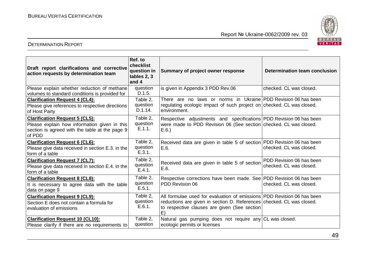

| Draft report clarifications and corrective<br>action requests by determination team                                                               | Ref. to<br>checklist<br>question in<br>tables 2, 3<br>and 4 | Summary of project owner response                                                                                                                                                                     | Determination team conclusion                       |
|---------------------------------------------------------------------------------------------------------------------------------------------------|-------------------------------------------------------------|-------------------------------------------------------------------------------------------------------------------------------------------------------------------------------------------------------|-----------------------------------------------------|
| Please explain whether reduction of methane<br>volumes to standard conditions is provided for                                                     | question<br>D.1.5.                                          | is given in Appendix 3 PDD Rev.06                                                                                                                                                                     | checked. CL was closed.                             |
| <b>Clarification Request 4 (CL4):</b><br>Please give references to respective directions<br>of Host Party                                         | Table 2,<br>question<br>D.1.14.                             | There are no laws or norms in Ukraine PDD Revision 06 has been<br>regulating ecologic impact of such project on checked. CL was closed.<br>environment.                                               |                                                     |
| <b>Clarification Request 5 (CL5):</b><br>Please explain how information given in this<br>section is agreed with the table at the page 9<br>of PDD | Table 2,<br>question<br>E.1.1.                              | Respective adjustments and specifications   PDD Revision 06 has been<br>were made to PDD Revision 06 (See section checked. CL was closed.<br>E.6.                                                     |                                                     |
| <b>Clarification Request 6 (CL6):</b><br>Please give data received in section E.3. in the<br>form of a table                                      | Table 2,<br>question<br>E.3.1.                              | Received data are given in table 5 of section PDD Revision 06 has been<br>E.6.                                                                                                                        | checked. CL was closed.                             |
| <b>Clarification Request 7 (CL7):</b><br>Please give data received in section E.4. in the<br>form of a table                                      | Table 2,<br>question<br>E.4.1.                              | Received data are given in table 5 of section<br>E.6.                                                                                                                                                 | PDD Revision 06 has been<br>checked. CL was closed. |
| <b>Clarification Request 8 (CL8):</b><br>It is necessary to agree data with the table<br>data on page 9                                           | Table 2,<br>question<br>E.5.1.                              | Respective corrections have been made. See PDD Revision 06 has been<br>PDD Revision 06                                                                                                                | checked. CL was closed.                             |
| <b>Clarification Request 9 (CL9):</b><br>Section E does not contain a formula for<br>evaluation of emissions                                      | Table 2,<br>question<br>E.6.1.                              | All formulae used for evaluation of emissions PDD Revision 06 has been<br>reductions are given in section D. References checked. CL was closed.<br>to respective clauses are given (See section<br>E) |                                                     |
| <b>Clarification Request 10 (CL10):</b><br>Please clarify if there are no requirements to                                                         | Table 2,<br>question                                        | Natural gas pumping does not require any CL was closed.<br>ecologic permits or licenses                                                                                                               |                                                     |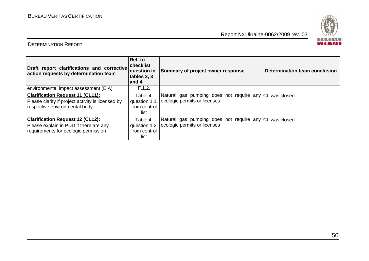



| Draft report clarifications and corrective<br>action requests by determination team                                            | Ref. to<br>checklist<br>question in<br>tables 2, 3<br>and 4 | Summary of project owner response                                                                     | Determination team conclusion |
|--------------------------------------------------------------------------------------------------------------------------------|-------------------------------------------------------------|-------------------------------------------------------------------------------------------------------|-------------------------------|
| environmental impact assessment (EIA)                                                                                          | F.1.2.                                                      |                                                                                                       |                               |
| <b>Clarification Request 11 (CL11):</b><br>Please clarify if project activity is licensed by<br>respective environmental body. | Table 4,<br>from control<br>list                            | Natural gas pumping does not require any CL was closed.<br>question 1.1. ecologic permits or licenses |                               |
| <b>Clarification Request 12 (CL12):</b><br>Please explain in PDD if there are any<br>requirements for ecologic permission      | Table 4.<br>from control<br>list                            | Natural gas pumping does not require any CL was closed.<br>question 1.2. ecologic permits or licenses |                               |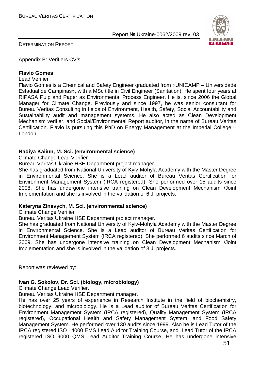

DETERMINATION REPORT

Appendix B: Verifiers CV's

#### **Flavio Gomes**

Lead Verifier

Flavio Gomes is a Chemical and Safety Engineer graduated from «UNICAMP – Universidade Estadual de Campinas», with a MSc title in Civil Engineer (Sanitation). He spent four years at RIPASA Pulp and Paper as Environmental Process Engineer. He is, since 2006 the Global Manager for Climate Change. Previously and since 1997, he was senior consultant for Bureau Veritas Consulting in fields of Environment, Health, Safety, Social Accountability and Sustainability audit and management systems. He also acted as Clean Development Mechanism verifier, and Social/Environmental Report auditor, in the name of Bureau Veritas Certification. Flavio is pursuing this PhD on Energy Management at the Imperial College – London.

#### **Nadiya Kaiiun, M. Sci. (environmental science)**

Climate Change Lead Verifier

Bureau Veritas Ukraine HSE Department project manager.

She has graduated from National University of Kyiv-Mohyla Academy with the Master Degree in Environmental Science. She is a Lead auditor of Bureau Veritas Certification for Environment Management System (IRCA registered). She performed over 15 audits since 2008. She has undergone intensive training on Clean Development Mechanism /Joint Implementation and she is involved in the validation of 6 JI projects.

#### **Kateryna Zinevych, M. Sci. (environmental science)**

Climate Change Verifier

Bureau Veritas Ukraine HSE Department project manager.

She has graduated from National University of Kyiv-Mohyla Academy with the Master Degree in Environmental Science. She is a Lead auditor of Bureau Veritas Certification for Environment Management System (IRCA registered). She performed 6 audits since March of 2009. She has undergone intensive training on Clean Development Mechanism /Joint Implementation and she is involved in the validation of 3 JI projects.

Report was reviewed by:

#### **Ivan G. Sokolov, Dr. Sci. (biology, microbiology)**

Climate Change Lead Verifier.

Bureau Veritas Ukraine HSE Department manager.

He has over 25 years of experience in Research Institute in the field of biochemistry, biotechnology, and microbiology. He is a Lead auditor of Bureau Veritas Certification for Environment Management System (IRCA registered), Quality Management System (IRCA registered), Occupational Health and Safety Management System, and Food Safety Management System. He performed over 130 audits since 1999. Also he is Lead Tutor of the IRCA registered ISO 14000 EMS Lead Auditor Training Course, and Lead Tutor of the IRCA registered ISO 9000 QMS Lead Auditor Training Course. He has undergone intensive